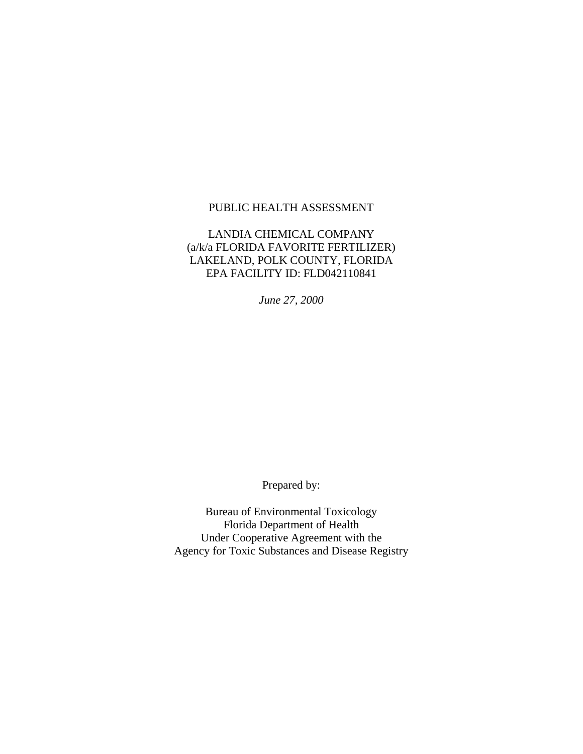#### PUBLIC HEALTH ASSESSMENT

#### LANDIA CHEMICAL COMPANY (a/k/a FLORIDA FAVORITE FERTILIZER) LAKELAND, POLK COUNTY, FLORIDA EPA FACILITY ID: FLD042110841

*June 27, 2000* 

Prepared by:

Bureau of Environmental Toxicology Florida Department of Health Under Cooperative Agreement with the Agency for Toxic Substances and Disease Registry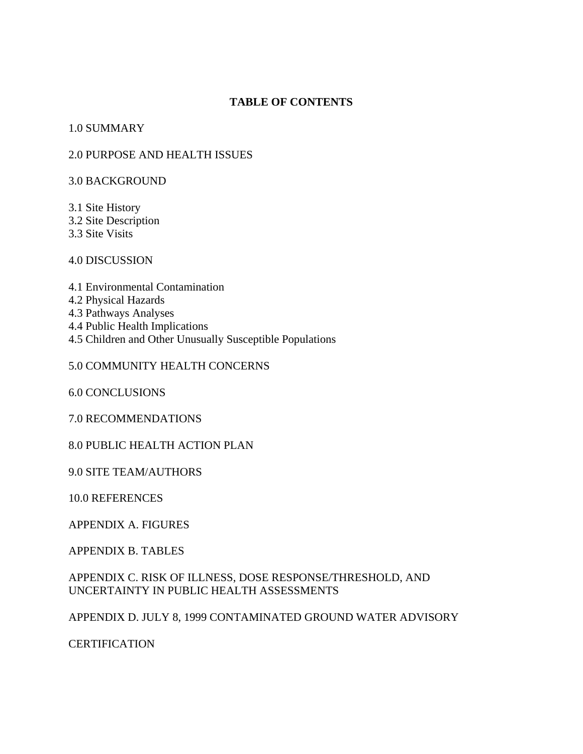#### **TABLE OF CONTENTS**

#### 1.0 SUMMARY

#### 2.0 PURPOSE AND HEALTH ISSUES

3.0 BACKGROUND

3.1 Site History 3.2 Site Description 3.3 Site Visits

4.0 DISCUSSION

4.1 Environmental Contamination 4.2 Physical Hazards 4.3 Pathways Analyses 4.4 Public Health Implications 4.5 Children and Other Unusually Susceptible Populations

#### 5.0 COMMUNITY HEALTH CONCERNS

6.0 CONCLUSIONS

7.0 RECOMMENDATIONS

8.0 PUBLIC HEALTH ACTION PLAN

9.0 SITE TEAM/AUTHORS

10.0 REFERENCES

APPENDIX A. FIGURES

APPENDIX B. TABLES

APPENDIX C. RISK OF ILLNESS, DOSE RESPONSE/THRESHOLD, AND UNCERTAINTY IN PUBLIC HEALTH ASSESSMENTS

APPENDIX D. JULY 8, 1999 CONTAMINATED GROUND WATER ADVISORY

**CERTIFICATION**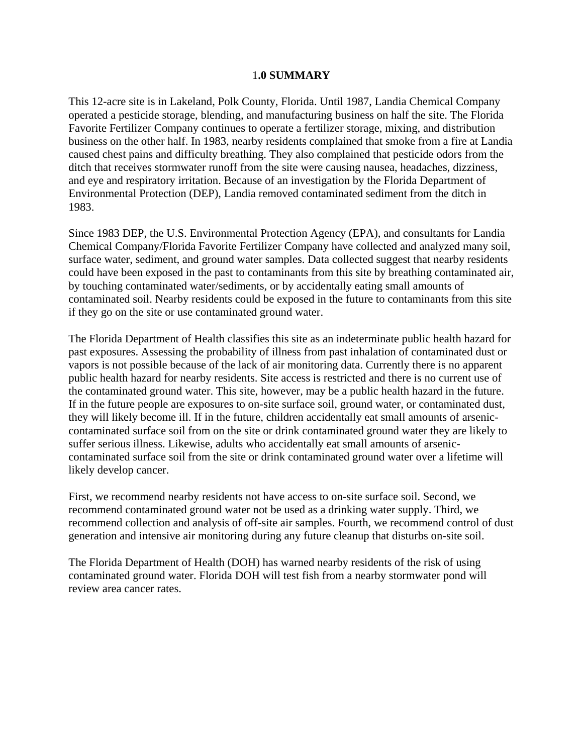#### 1**.0 SUMMARY**

This 12-acre site is in Lakeland, Polk County, Florida. Until 1987, Landia Chemical Company operated a pesticide storage, blending, and manufacturing business on half the site. The Florida Favorite Fertilizer Company continues to operate a fertilizer storage, mixing, and distribution business on the other half. In 1983, nearby residents complained that smoke from a fire at Landia caused chest pains and difficulty breathing. They also complained that pesticide odors from the ditch that receives stormwater runoff from the site were causing nausea, headaches, dizziness, and eye and respiratory irritation. Because of an investigation by the Florida Department of Environmental Protection (DEP), Landia removed contaminated sediment from the ditch in 1983.

Since 1983 DEP, the U.S. Environmental Protection Agency (EPA), and consultants for Landia Chemical Company/Florida Favorite Fertilizer Company have collected and analyzed many soil, surface water, sediment, and ground water samples. Data collected suggest that nearby residents could have been exposed in the past to contaminants from this site by breathing contaminated air, by touching contaminated water/sediments, or by accidentally eating small amounts of contaminated soil. Nearby residents could be exposed in the future to contaminants from this site if they go on the site or use contaminated ground water.

The Florida Department of Health classifies this site as an indeterminate public health hazard for past exposures. Assessing the probability of illness from past inhalation of contaminated dust or vapors is not possible because of the lack of air monitoring data. Currently there is no apparent public health hazard for nearby residents. Site access is restricted and there is no current use of the contaminated ground water. This site, however, may be a public health hazard in the future. If in the future people are exposures to on-site surface soil, ground water, or contaminated dust, they will likely become ill. If in the future, children accidentally eat small amounts of arseniccontaminated surface soil from on the site or drink contaminated ground water they are likely to suffer serious illness. Likewise, adults who accidentally eat small amounts of arseniccontaminated surface soil from the site or drink contaminated ground water over a lifetime will likely develop cancer.

First, we recommend nearby residents not have access to on-site surface soil. Second, we recommend contaminated ground water not be used as a drinking water supply. Third, we recommend collection and analysis of off-site air samples. Fourth, we recommend control of dust generation and intensive air monitoring during any future cleanup that disturbs on-site soil.

The Florida Department of Health (DOH) has warned nearby residents of the risk of using contaminated ground water. Florida DOH will test fish from a nearby stormwater pond will review area cancer rates.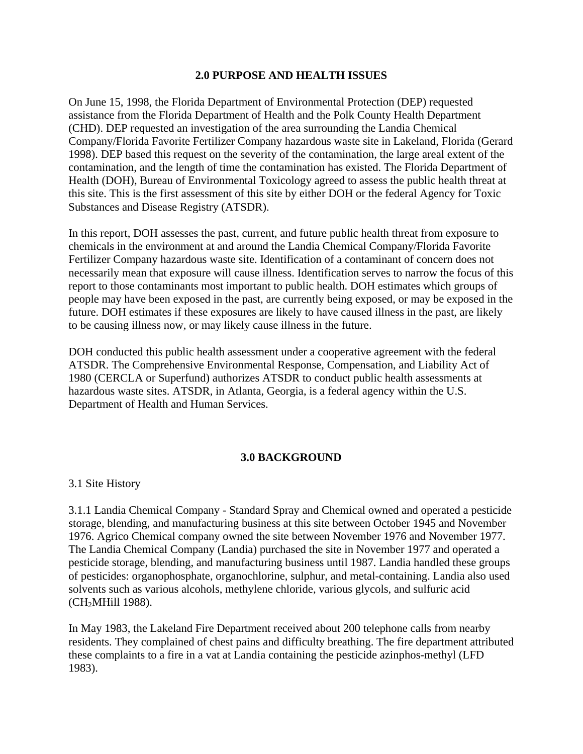#### **2.0 PURPOSE AND HEALTH ISSUES**

On June 15, 1998, the Florida Department of Environmental Protection (DEP) requested assistance from the Florida Department of Health and the Polk County Health Department (CHD). DEP requested an investigation of the area surrounding the Landia Chemical Company/Florida Favorite Fertilizer Company hazardous waste site in Lakeland, Florida (Gerard 1998). DEP based this request on the severity of the contamination, the large areal extent of the contamination, and the length of time the contamination has existed. The Florida Department of Health (DOH), Bureau of Environmental Toxicology agreed to assess the public health threat at this site. This is the first assessment of this site by either DOH or the federal Agency for Toxic Substances and Disease Registry (ATSDR).

In this report, DOH assesses the past, current, and future public health threat from exposure to chemicals in the environment at and around the Landia Chemical Company/Florida Favorite Fertilizer Company hazardous waste site. Identification of a contaminant of concern does not necessarily mean that exposure will cause illness. Identification serves to narrow the focus of this report to those contaminants most important to public health. DOH estimates which groups of people may have been exposed in the past, are currently being exposed, or may be exposed in the future. DOH estimates if these exposures are likely to have caused illness in the past, are likely to be causing illness now, or may likely cause illness in the future.

DOH conducted this public health assessment under a cooperative agreement with the federal ATSDR. The Comprehensive Environmental Response, Compensation, and Liability Act of 1980 (CERCLA or Superfund) authorizes ATSDR to conduct public health assessments at hazardous waste sites. ATSDR, in Atlanta, Georgia, is a federal agency within the U.S. Department of Health and Human Services.

# **3.0 BACKGROUND**

3.1 Site History

3.1.1 Landia Chemical Company - Standard Spray and Chemical owned and operated a pesticide storage, blending, and manufacturing business at this site between October 1945 and November 1976. Agrico Chemical company owned the site between November 1976 and November 1977. The Landia Chemical Company (Landia) purchased the site in November 1977 and operated a pesticide storage, blending, and manufacturing business until 1987. Landia handled these groups of pesticides: organophosphate, organochlorine, sulphur, and metal-containing. Landia also used solvents such as various alcohols, methylene chloride, various glycols, and sulfuric acid (CH2MHill 1988).

In May 1983, the Lakeland Fire Department received about 200 telephone calls from nearby residents. They complained of chest pains and difficulty breathing. The fire department attributed these complaints to a fire in a vat at Landia containing the pesticide azinphos-methyl (LFD 1983).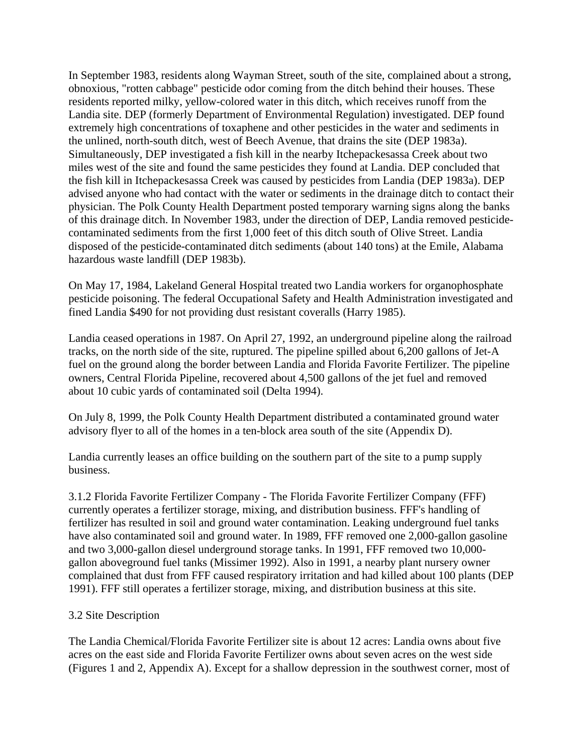In September 1983, residents along Wayman Street, south of the site, complained about a strong, obnoxious, "rotten cabbage" pesticide odor coming from the ditch behind their houses. These residents reported milky, yellow-colored water in this ditch, which receives runoff from the Landia site. DEP (formerly Department of Environmental Regulation) investigated. DEP found extremely high concentrations of toxaphene and other pesticides in the water and sediments in the unlined, north-south ditch, west of Beech Avenue, that drains the site (DEP 1983a). Simultaneously, DEP investigated a fish kill in the nearby Itchepackesassa Creek about two miles west of the site and found the same pesticides they found at Landia. DEP concluded that the fish kill in Itchepackesassa Creek was caused by pesticides from Landia (DEP 1983a). DEP advised anyone who had contact with the water or sediments in the drainage ditch to contact their physician. The Polk County Health Department posted temporary warning signs along the banks of this drainage ditch. In November 1983, under the direction of DEP, Landia removed pesticidecontaminated sediments from the first 1,000 feet of this ditch south of Olive Street. Landia disposed of the pesticide-contaminated ditch sediments (about 140 tons) at the Emile, Alabama hazardous waste landfill (DEP 1983b).

On May 17, 1984, Lakeland General Hospital treated two Landia workers for organophosphate pesticide poisoning. The federal Occupational Safety and Health Administration investigated and fined Landia \$490 for not providing dust resistant coveralls (Harry 1985).

Landia ceased operations in 1987. On April 27, 1992, an underground pipeline along the railroad tracks, on the north side of the site, ruptured. The pipeline spilled about 6,200 gallons of Jet-A fuel on the ground along the border between Landia and Florida Favorite Fertilizer. The pipeline owners, Central Florida Pipeline, recovered about 4,500 gallons of the jet fuel and removed about 10 cubic yards of contaminated soil (Delta 1994).

On July 8, 1999, the Polk County Health Department distributed a contaminated ground water advisory flyer to all of the homes in a ten-block area south of the site (Appendix D).

Landia currently leases an office building on the southern part of the site to a pump supply business.

3.1.2 Florida Favorite Fertilizer Company - The Florida Favorite Fertilizer Company (FFF) currently operates a fertilizer storage, mixing, and distribution business. FFF's handling of fertilizer has resulted in soil and ground water contamination. Leaking underground fuel tanks have also contaminated soil and ground water. In 1989, FFF removed one 2,000-gallon gasoline and two 3,000-gallon diesel underground storage tanks. In 1991, FFF removed two 10,000 gallon aboveground fuel tanks (Missimer 1992). Also in 1991, a nearby plant nursery owner complained that dust from FFF caused respiratory irritation and had killed about 100 plants (DEP 1991). FFF still operates a fertilizer storage, mixing, and distribution business at this site.

#### 3.2 Site Description

The Landia Chemical/Florida Favorite Fertilizer site is about 12 acres: Landia owns about five acres on the east side and Florida Favorite Fertilizer owns about seven acres on the west side (Figures 1 and 2, Appendix A). Except for a shallow depression in the southwest corner, most of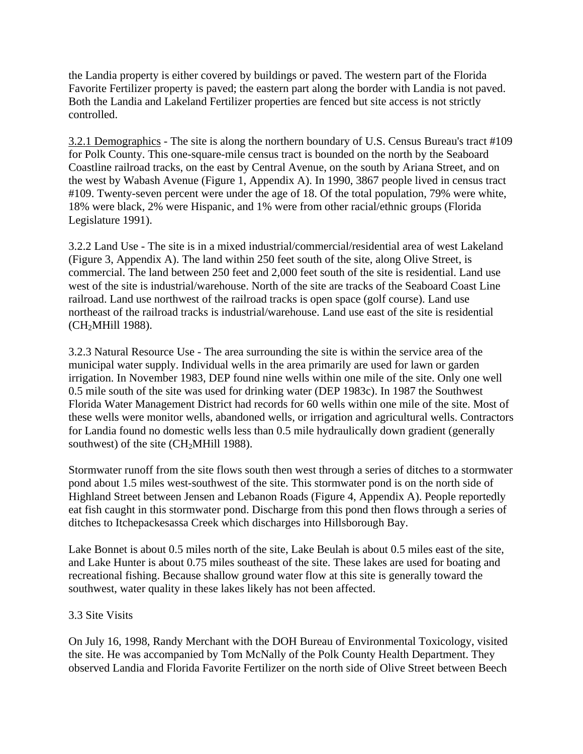the Landia property is either covered by buildings or paved. The western part of the Florida Favorite Fertilizer property is paved; the eastern part along the border with Landia is not paved. Both the Landia and Lakeland Fertilizer properties are fenced but site access is not strictly controlled.

3.2.1 Demographics - The site is along the northern boundary of U.S. Census Bureau's tract #109 for Polk County. This one-square-mile census tract is bounded on the north by the Seaboard Coastline railroad tracks, on the east by Central Avenue, on the south by Ariana Street, and on the west by Wabash Avenue (Figure 1, Appendix A). In 1990, 3867 people lived in census tract #109. Twenty-seven percent were under the age of 18. Of the total population, 79% were white, 18% were black, 2% were Hispanic, and 1% were from other racial/ethnic groups (Florida Legislature 1991).

3.2.2 Land Use - The site is in a mixed industrial/commercial/residential area of west Lakeland (Figure 3, Appendix A). The land within 250 feet south of the site, along Olive Street, is commercial. The land between 250 feet and 2,000 feet south of the site is residential. Land use west of the site is industrial/warehouse. North of the site are tracks of the Seaboard Coast Line railroad. Land use northwest of the railroad tracks is open space (golf course). Land use northeast of the railroad tracks is industrial/warehouse. Land use east of the site is residential (CH2MHill 1988).

3.2.3 Natural Resource Use - The area surrounding the site is within the service area of the municipal water supply. Individual wells in the area primarily are used for lawn or garden irrigation. In November 1983, DEP found nine wells within one mile of the site. Only one well 0.5 mile south of the site was used for drinking water (DEP 1983c). In 1987 the Southwest Florida Water Management District had records for 60 wells within one mile of the site. Most of these wells were monitor wells, abandoned wells, or irrigation and agricultural wells. Contractors for Landia found no domestic wells less than 0.5 mile hydraulically down gradient (generally southwest) of the site  $(CH<sub>2</sub>MHill 1988)$ .

Stormwater runoff from the site flows south then west through a series of ditches to a stormwater pond about 1.5 miles west-southwest of the site. This stormwater pond is on the north side of Highland Street between Jensen and Lebanon Roads (Figure 4, Appendix A). People reportedly eat fish caught in this stormwater pond. Discharge from this pond then flows through a series of ditches to Itchepackesassa Creek which discharges into Hillsborough Bay.

Lake Bonnet is about 0.5 miles north of the site, Lake Beulah is about 0.5 miles east of the site, and Lake Hunter is about 0.75 miles southeast of the site. These lakes are used for boating and recreational fishing. Because shallow ground water flow at this site is generally toward the southwest, water quality in these lakes likely has not been affected.

# 3.3 Site Visits

On July 16, 1998, Randy Merchant with the DOH Bureau of Environmental Toxicology, visited the site. He was accompanied by Tom McNally of the Polk County Health Department. They observed Landia and Florida Favorite Fertilizer on the north side of Olive Street between Beech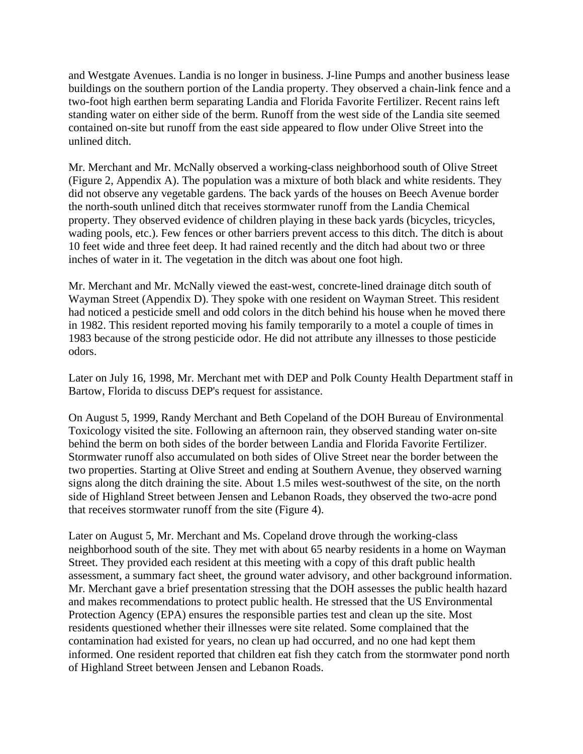and Westgate Avenues. Landia is no longer in business. J-line Pumps and another business lease buildings on the southern portion of the Landia property. They observed a chain-link fence and a two-foot high earthen berm separating Landia and Florida Favorite Fertilizer. Recent rains left standing water on either side of the berm. Runoff from the west side of the Landia site seemed contained on-site but runoff from the east side appeared to flow under Olive Street into the unlined ditch.

Mr. Merchant and Mr. McNally observed a working-class neighborhood south of Olive Street (Figure 2, Appendix A). The population was a mixture of both black and white residents. They did not observe any vegetable gardens. The back yards of the houses on Beech Avenue border the north-south unlined ditch that receives stormwater runoff from the Landia Chemical property. They observed evidence of children playing in these back yards (bicycles, tricycles, wading pools, etc.). Few fences or other barriers prevent access to this ditch. The ditch is about 10 feet wide and three feet deep. It had rained recently and the ditch had about two or three inches of water in it. The vegetation in the ditch was about one foot high.

Mr. Merchant and Mr. McNally viewed the east-west, concrete-lined drainage ditch south of Wayman Street (Appendix D). They spoke with one resident on Wayman Street. This resident had noticed a pesticide smell and odd colors in the ditch behind his house when he moved there in 1982. This resident reported moving his family temporarily to a motel a couple of times in 1983 because of the strong pesticide odor. He did not attribute any illnesses to those pesticide odors.

Later on July 16, 1998, Mr. Merchant met with DEP and Polk County Health Department staff in Bartow, Florida to discuss DEP's request for assistance.

On August 5, 1999, Randy Merchant and Beth Copeland of the DOH Bureau of Environmental Toxicology visited the site. Following an afternoon rain, they observed standing water on-site behind the berm on both sides of the border between Landia and Florida Favorite Fertilizer. Stormwater runoff also accumulated on both sides of Olive Street near the border between the two properties. Starting at Olive Street and ending at Southern Avenue, they observed warning signs along the ditch draining the site. About 1.5 miles west-southwest of the site, on the north side of Highland Street between Jensen and Lebanon Roads, they observed the two-acre pond that receives stormwater runoff from the site (Figure 4).

Later on August 5, Mr. Merchant and Ms. Copeland drove through the working-class neighborhood south of the site. They met with about 65 nearby residents in a home on Wayman Street. They provided each resident at this meeting with a copy of this draft public health assessment, a summary fact sheet, the ground water advisory, and other background information. Mr. Merchant gave a brief presentation stressing that the DOH assesses the public health hazard and makes recommendations to protect public health. He stressed that the US Environmental Protection Agency (EPA) ensures the responsible parties test and clean up the site. Most residents questioned whether their illnesses were site related. Some complained that the contamination had existed for years, no clean up had occurred, and no one had kept them informed. One resident reported that children eat fish they catch from the stormwater pond north of Highland Street between Jensen and Lebanon Roads.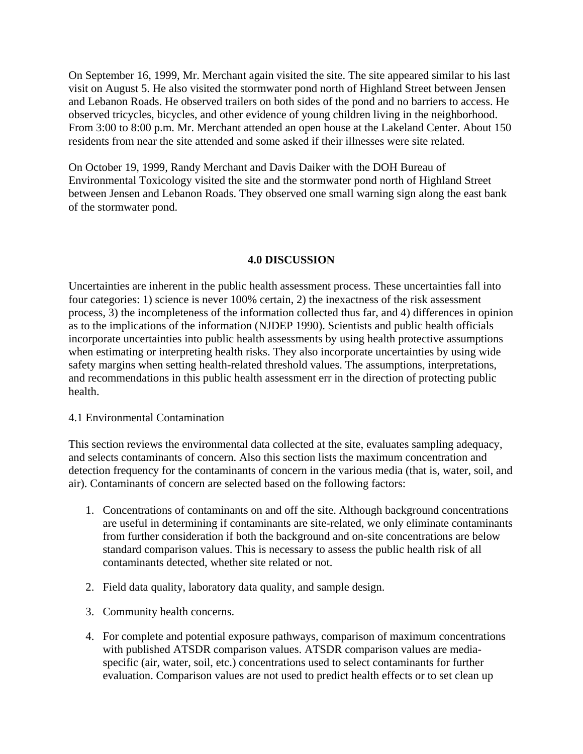On September 16, 1999, Mr. Merchant again visited the site. The site appeared similar to his last visit on August 5. He also visited the stormwater pond north of Highland Street between Jensen and Lebanon Roads. He observed trailers on both sides of the pond and no barriers to access. He observed tricycles, bicycles, and other evidence of young children living in the neighborhood. From 3:00 to 8:00 p.m. Mr. Merchant attended an open house at the Lakeland Center. About 150 residents from near the site attended and some asked if their illnesses were site related.

On October 19, 1999, Randy Merchant and Davis Daiker with the DOH Bureau of Environmental Toxicology visited the site and the stormwater pond north of Highland Street between Jensen and Lebanon Roads. They observed one small warning sign along the east bank of the stormwater pond.

#### **4.0 DISCUSSION**

Uncertainties are inherent in the public health assessment process. These uncertainties fall into four categories: 1) science is never 100% certain, 2) the inexactness of the risk assessment process, 3) the incompleteness of the information collected thus far, and 4) differences in opinion as to the implications of the information (NJDEP 1990). Scientists and public health officials incorporate uncertainties into public health assessments by using health protective assumptions when estimating or interpreting health risks. They also incorporate uncertainties by using wide safety margins when setting health-related threshold values. The assumptions, interpretations, and recommendations in this public health assessment err in the direction of protecting public health.

#### 4.1 Environmental Contamination

This section reviews the environmental data collected at the site, evaluates sampling adequacy, and selects contaminants of concern. Also this section lists the maximum concentration and detection frequency for the contaminants of concern in the various media (that is, water, soil, and air). Contaminants of concern are selected based on the following factors:

- 1. Concentrations of contaminants on and off the site. Although background concentrations are useful in determining if contaminants are site-related, we only eliminate contaminants from further consideration if both the background and on-site concentrations are below standard comparison values. This is necessary to assess the public health risk of all contaminants detected, whether site related or not.
- 2. Field data quality, laboratory data quality, and sample design.
- 3. Community health concerns.
- 4. For complete and potential exposure pathways, comparison of maximum concentrations with published ATSDR comparison values. ATSDR comparison values are mediaspecific (air, water, soil, etc.) concentrations used to select contaminants for further evaluation. Comparison values are not used to predict health effects or to set clean up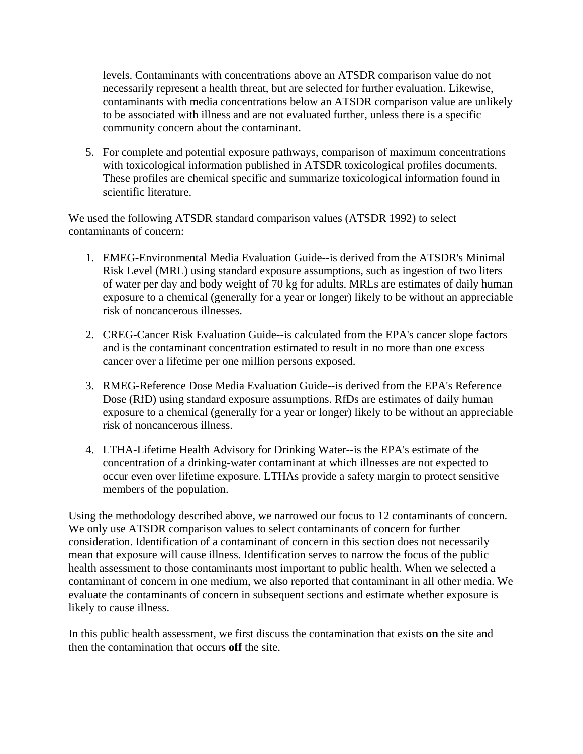levels. Contaminants with concentrations above an ATSDR comparison value do not necessarily represent a health threat, but are selected for further evaluation. Likewise, contaminants with media concentrations below an ATSDR comparison value are unlikely to be associated with illness and are not evaluated further, unless there is a specific community concern about the contaminant.

5. For complete and potential exposure pathways, comparison of maximum concentrations with toxicological information published in ATSDR toxicological profiles documents. These profiles are chemical specific and summarize toxicological information found in scientific literature.

We used the following ATSDR standard comparison values (ATSDR 1992) to select contaminants of concern:

- 1. EMEG-Environmental Media Evaluation Guide--is derived from the ATSDR's Minimal Risk Level (MRL) using standard exposure assumptions, such as ingestion of two liters of water per day and body weight of 70 kg for adults. MRLs are estimates of daily human exposure to a chemical (generally for a year or longer) likely to be without an appreciable risk of noncancerous illnesses.
- 2. CREG-Cancer Risk Evaluation Guide--is calculated from the EPA's cancer slope factors and is the contaminant concentration estimated to result in no more than one excess cancer over a lifetime per one million persons exposed.
- 3. RMEG-Reference Dose Media Evaluation Guide--is derived from the EPA's Reference Dose (RfD) using standard exposure assumptions. RfDs are estimates of daily human exposure to a chemical (generally for a year or longer) likely to be without an appreciable risk of noncancerous illness.
- 4. LTHA-Lifetime Health Advisory for Drinking Water--is the EPA's estimate of the concentration of a drinking-water contaminant at which illnesses are not expected to occur even over lifetime exposure. LTHAs provide a safety margin to protect sensitive members of the population.

Using the methodology described above, we narrowed our focus to 12 contaminants of concern. We only use ATSDR comparison values to select contaminants of concern for further consideration. Identification of a contaminant of concern in this section does not necessarily mean that exposure will cause illness. Identification serves to narrow the focus of the public health assessment to those contaminants most important to public health. When we selected a contaminant of concern in one medium, we also reported that contaminant in all other media. We evaluate the contaminants of concern in subsequent sections and estimate whether exposure is likely to cause illness.

In this public health assessment, we first discuss the contamination that exists **on** the site and then the contamination that occurs **off** the site.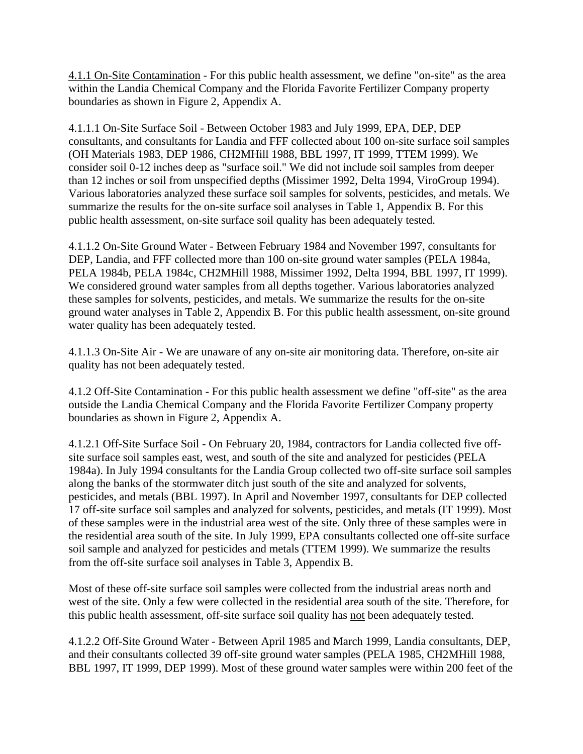4.1.1 On-Site Contamination - For this public health assessment, we define "on-site" as the area within the Landia Chemical Company and the Florida Favorite Fertilizer Company property boundaries as shown in Figure 2, Appendix A.

4.1.1.1 On-Site Surface Soil - Between October 1983 and July 1999, EPA, DEP, DEP consultants, and consultants for Landia and FFF collected about 100 on-site surface soil samples (OH Materials 1983, DEP 1986, CH2MHill 1988, BBL 1997, IT 1999, TTEM 1999). We consider soil 0-12 inches deep as "surface soil." We did not include soil samples from deeper than 12 inches or soil from unspecified depths (Missimer 1992, Delta 1994, ViroGroup 1994). Various laboratories analyzed these surface soil samples for solvents, pesticides, and metals. We summarize the results for the on-site surface soil analyses in Table 1, Appendix B. For this public health assessment, on-site surface soil quality has been adequately tested.

4.1.1.2 On-Site Ground Water - Between February 1984 and November 1997, consultants for DEP, Landia, and FFF collected more than 100 on-site ground water samples (PELA 1984a, PELA 1984b, PELA 1984c, CH2MHill 1988, Missimer 1992, Delta 1994, BBL 1997, IT 1999). We considered ground water samples from all depths together. Various laboratories analyzed these samples for solvents, pesticides, and metals. We summarize the results for the on-site ground water analyses in Table 2, Appendix B. For this public health assessment, on-site ground water quality has been adequately tested.

4.1.1.3 On-Site Air - We are unaware of any on-site air monitoring data. Therefore, on-site air quality has not been adequately tested.

4.1.2 Off-Site Contamination - For this public health assessment we define "off-site" as the area outside the Landia Chemical Company and the Florida Favorite Fertilizer Company property boundaries as shown in Figure 2, Appendix A.

4.1.2.1 Off-Site Surface Soil - On February 20, 1984, contractors for Landia collected five offsite surface soil samples east, west, and south of the site and analyzed for pesticides (PELA 1984a). In July 1994 consultants for the Landia Group collected two off-site surface soil samples along the banks of the stormwater ditch just south of the site and analyzed for solvents, pesticides, and metals (BBL 1997). In April and November 1997, consultants for DEP collected 17 off-site surface soil samples and analyzed for solvents, pesticides, and metals (IT 1999). Most of these samples were in the industrial area west of the site. Only three of these samples were in the residential area south of the site. In July 1999, EPA consultants collected one off-site surface soil sample and analyzed for pesticides and metals (TTEM 1999). We summarize the results from the off-site surface soil analyses in Table 3, Appendix B.

Most of these off-site surface soil samples were collected from the industrial areas north and west of the site. Only a few were collected in the residential area south of the site. Therefore, for this public health assessment, off-site surface soil quality has not been adequately tested.

4.1.2.2 Off-Site Ground Water - Between April 1985 and March 1999, Landia consultants, DEP, and their consultants collected 39 off-site ground water samples (PELA 1985, CH2MHill 1988, BBL 1997, IT 1999, DEP 1999). Most of these ground water samples were within 200 feet of the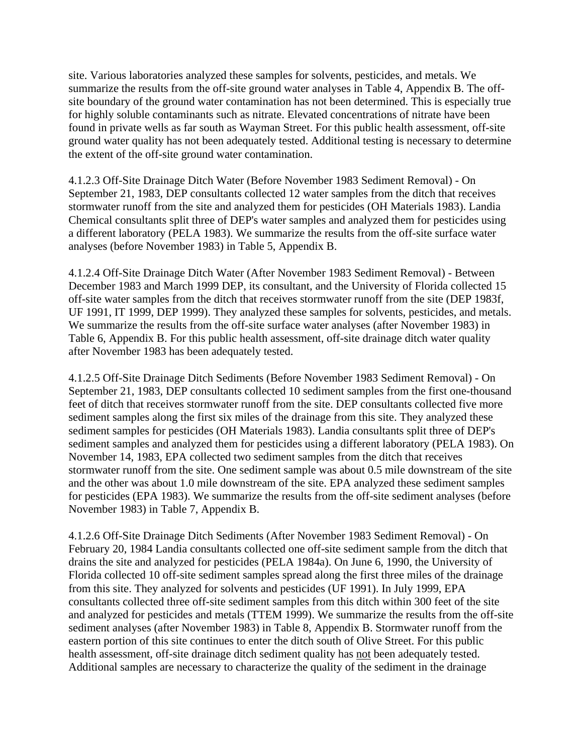site. Various laboratories analyzed these samples for solvents, pesticides, and metals. We summarize the results from the off-site ground water analyses in Table 4, Appendix B. The offsite boundary of the ground water contamination has not been determined. This is especially true for highly soluble contaminants such as nitrate. Elevated concentrations of nitrate have been found in private wells as far south as Wayman Street. For this public health assessment, off-site ground water quality has not been adequately tested. Additional testing is necessary to determine the extent of the off-site ground water contamination.

4.1.2.3 Off-Site Drainage Ditch Water (Before November 1983 Sediment Removal) - On September 21, 1983, DEP consultants collected 12 water samples from the ditch that receives stormwater runoff from the site and analyzed them for pesticides (OH Materials 1983). Landia Chemical consultants split three of DEP's water samples and analyzed them for pesticides using a different laboratory (PELA 1983). We summarize the results from the off-site surface water analyses (before November 1983) in Table 5, Appendix B.

4.1.2.4 Off-Site Drainage Ditch Water (After November 1983 Sediment Removal) - Between December 1983 and March 1999 DEP, its consultant, and the University of Florida collected 15 off-site water samples from the ditch that receives stormwater runoff from the site (DEP 1983f, UF 1991, IT 1999, DEP 1999). They analyzed these samples for solvents, pesticides, and metals. We summarize the results from the off-site surface water analyses (after November 1983) in Table 6, Appendix B. For this public health assessment, off-site drainage ditch water quality after November 1983 has been adequately tested.

4.1.2.5 Off-Site Drainage Ditch Sediments (Before November 1983 Sediment Removal) - On September 21, 1983, DEP consultants collected 10 sediment samples from the first one-thousand feet of ditch that receives stormwater runoff from the site. DEP consultants collected five more sediment samples along the first six miles of the drainage from this site. They analyzed these sediment samples for pesticides (OH Materials 1983). Landia consultants split three of DEP's sediment samples and analyzed them for pesticides using a different laboratory (PELA 1983). On November 14, 1983, EPA collected two sediment samples from the ditch that receives stormwater runoff from the site. One sediment sample was about 0.5 mile downstream of the site and the other was about 1.0 mile downstream of the site. EPA analyzed these sediment samples for pesticides (EPA 1983). We summarize the results from the off-site sediment analyses (before November 1983) in Table 7, Appendix B.

4.1.2.6 Off-Site Drainage Ditch Sediments (After November 1983 Sediment Removal) - On February 20, 1984 Landia consultants collected one off-site sediment sample from the ditch that drains the site and analyzed for pesticides (PELA 1984a). On June 6, 1990, the University of Florida collected 10 off-site sediment samples spread along the first three miles of the drainage from this site. They analyzed for solvents and pesticides (UF 1991). In July 1999, EPA consultants collected three off-site sediment samples from this ditch within 300 feet of the site and analyzed for pesticides and metals (TTEM 1999). We summarize the results from the off-site sediment analyses (after November 1983) in Table 8, Appendix B. Stormwater runoff from the eastern portion of this site continues to enter the ditch south of Olive Street. For this public health assessment, off-site drainage ditch sediment quality has not been adequately tested. Additional samples are necessary to characterize the quality of the sediment in the drainage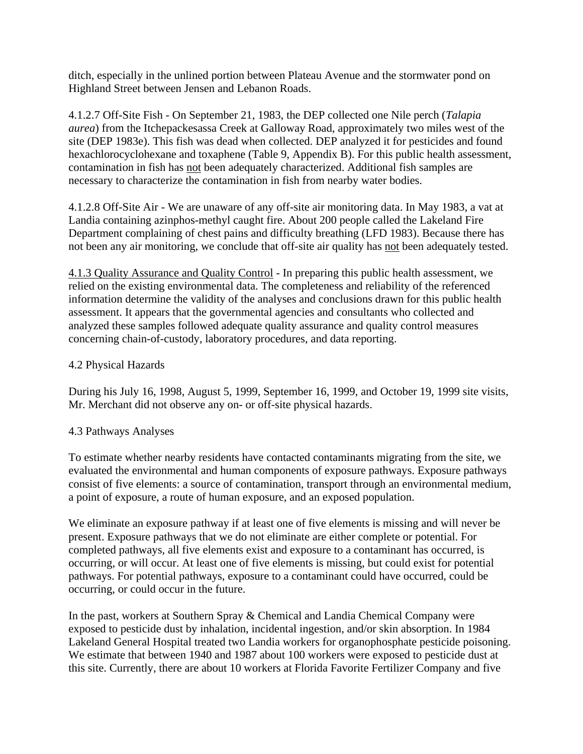ditch, especially in the unlined portion between Plateau Avenue and the stormwater pond on Highland Street between Jensen and Lebanon Roads.

4.1.2.7 Off-Site Fish - On September 21, 1983, the DEP collected one Nile perch (*Talapia aurea*) from the Itchepackesassa Creek at Galloway Road, approximately two miles west of the site (DEP 1983e). This fish was dead when collected. DEP analyzed it for pesticides and found hexachlorocyclohexane and toxaphene (Table 9, Appendix B). For this public health assessment, contamination in fish has not been adequately characterized. Additional fish samples are necessary to characterize the contamination in fish from nearby water bodies.

4.1.2.8 Off-Site Air - We are unaware of any off-site air monitoring data. In May 1983, a vat at Landia containing azinphos-methyl caught fire. About 200 people called the Lakeland Fire Department complaining of chest pains and difficulty breathing (LFD 1983). Because there has not been any air monitoring, we conclude that off-site air quality has not been adequately tested.

4.1.3 Quality Assurance and Quality Control - In preparing this public health assessment, we relied on the existing environmental data. The completeness and reliability of the referenced information determine the validity of the analyses and conclusions drawn for this public health assessment. It appears that the governmental agencies and consultants who collected and analyzed these samples followed adequate quality assurance and quality control measures concerning chain-of-custody, laboratory procedures, and data reporting.

#### 4.2 Physical Hazards

During his July 16, 1998, August 5, 1999, September 16, 1999, and October 19, 1999 site visits, Mr. Merchant did not observe any on- or off-site physical hazards.

#### 4.3 Pathways Analyses

To estimate whether nearby residents have contacted contaminants migrating from the site, we evaluated the environmental and human components of exposure pathways. Exposure pathways consist of five elements: a source of contamination, transport through an environmental medium, a point of exposure, a route of human exposure, and an exposed population.

We eliminate an exposure pathway if at least one of five elements is missing and will never be present. Exposure pathways that we do not eliminate are either complete or potential. For completed pathways, all five elements exist and exposure to a contaminant has occurred, is occurring, or will occur. At least one of five elements is missing, but could exist for potential pathways. For potential pathways, exposure to a contaminant could have occurred, could be occurring, or could occur in the future.

In the past, workers at Southern Spray & Chemical and Landia Chemical Company were exposed to pesticide dust by inhalation, incidental ingestion, and/or skin absorption. In 1984 Lakeland General Hospital treated two Landia workers for organophosphate pesticide poisoning. We estimate that between 1940 and 1987 about 100 workers were exposed to pesticide dust at this site. Currently, there are about 10 workers at Florida Favorite Fertilizer Company and five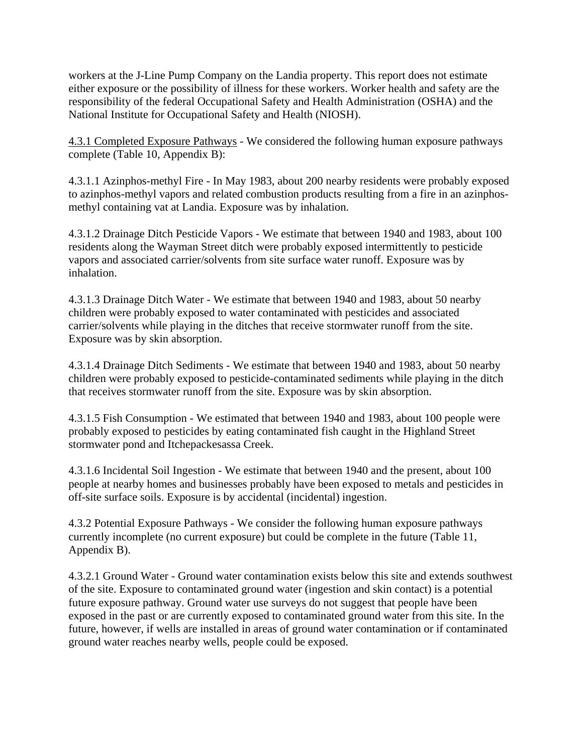workers at the J-Line Pump Company on the Landia property. This report does not estimate either exposure or the possibility of illness for these workers. Worker health and safety are the responsibility of the federal Occupational Safety and Health Administration (OSHA) and the National Institute for Occupational Safety and Health (NIOSH).

4.3.1 Completed Exposure Pathways - We considered the following human exposure pathways complete (Table 10, Appendix B):

4.3.1.1 Azinphos-methyl Fire - In May 1983, about 200 nearby residents were probably exposed to azinphos-methyl vapors and related combustion products resulting from a fire in an azinphosmethyl containing vat at Landia. Exposure was by inhalation.

4.3.1.2 Drainage Ditch Pesticide Vapors - We estimate that between 1940 and 1983, about 100 residents along the Wayman Street ditch were probably exposed intermittently to pesticide vapors and associated carrier/solvents from site surface water runoff. Exposure was by inhalation.

4.3.1.3 Drainage Ditch Water - We estimate that between 1940 and 1983, about 50 nearby children were probably exposed to water contaminated with pesticides and associated carrier/solvents while playing in the ditches that receive stormwater runoff from the site. Exposure was by skin absorption.

4.3.1.4 Drainage Ditch Sediments - We estimate that between 1940 and 1983, about 50 nearby children were probably exposed to pesticide-contaminated sediments while playing in the ditch that receives stormwater runoff from the site. Exposure was by skin absorption.

4.3.1.5 Fish Consumption - We estimated that between 1940 and 1983, about 100 people were probably exposed to pesticides by eating contaminated fish caught in the Highland Street stormwater pond and Itchepackesassa Creek.

4.3.1.6 Incidental Soil Ingestion - We estimate that between 1940 and the present, about 100 people at nearby homes and businesses probably have been exposed to metals and pesticides in off-site surface soils. Exposure is by accidental (incidental) ingestion.

4.3.2 Potential Exposure Pathways - We consider the following human exposure pathways currently incomplete (no current exposure) but could be complete in the future (Table 11, Appendix B).

4.3.2.1 Ground Water - Ground water contamination exists below this site and extends southwest of the site. Exposure to contaminated ground water (ingestion and skin contact) is a potential future exposure pathway. Ground water use surveys do not suggest that people have been exposed in the past or are currently exposed to contaminated ground water from this site. In the future, however, if wells are installed in areas of ground water contamination or if contaminated ground water reaches nearby wells, people could be exposed.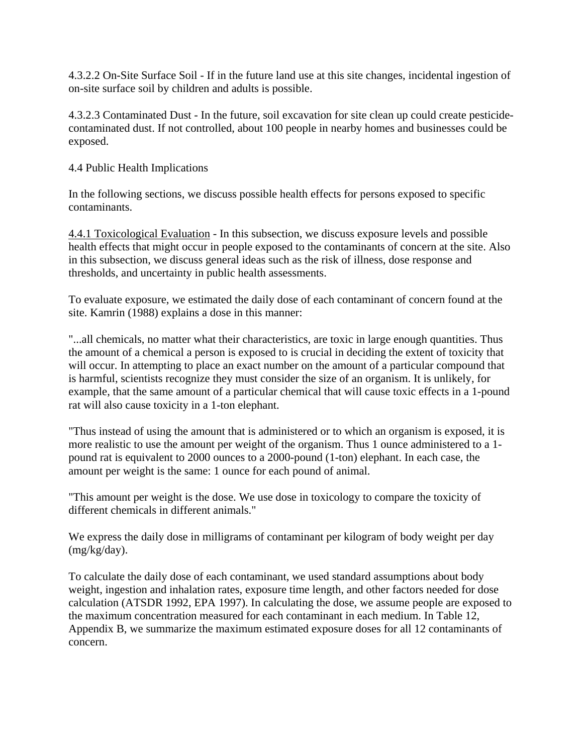4.3.2.2 On-Site Surface Soil - If in the future land use at this site changes, incidental ingestion of on-site surface soil by children and adults is possible.

4.3.2.3 Contaminated Dust - In the future, soil excavation for site clean up could create pesticidecontaminated dust. If not controlled, about 100 people in nearby homes and businesses could be exposed.

#### 4.4 Public Health Implications

In the following sections, we discuss possible health effects for persons exposed to specific contaminants.

4.4.1 Toxicological Evaluation - In this subsection, we discuss exposure levels and possible health effects that might occur in people exposed to the contaminants of concern at the site. Also in this subsection, we discuss general ideas such as the risk of illness, dose response and thresholds, and uncertainty in public health assessments.

To evaluate exposure, we estimated the daily dose of each contaminant of concern found at the site. Kamrin (1988) explains a dose in this manner:

"...all chemicals, no matter what their characteristics, are toxic in large enough quantities. Thus the amount of a chemical a person is exposed to is crucial in deciding the extent of toxicity that will occur. In attempting to place an exact number on the amount of a particular compound that is harmful, scientists recognize they must consider the size of an organism. It is unlikely, for example, that the same amount of a particular chemical that will cause toxic effects in a 1-pound rat will also cause toxicity in a 1-ton elephant.

"Thus instead of using the amount that is administered or to which an organism is exposed, it is more realistic to use the amount per weight of the organism. Thus 1 ounce administered to a 1 pound rat is equivalent to 2000 ounces to a 2000-pound (1-ton) elephant. In each case, the amount per weight is the same: 1 ounce for each pound of animal.

"This amount per weight is the dose. We use dose in toxicology to compare the toxicity of different chemicals in different animals."

We express the daily dose in milligrams of contaminant per kilogram of body weight per day (mg/kg/day).

To calculate the daily dose of each contaminant, we used standard assumptions about body weight, ingestion and inhalation rates, exposure time length, and other factors needed for dose calculation (ATSDR 1992, EPA 1997). In calculating the dose, we assume people are exposed to the maximum concentration measured for each contaminant in each medium. In Table 12, Appendix B, we summarize the maximum estimated exposure doses for all 12 contaminants of concern.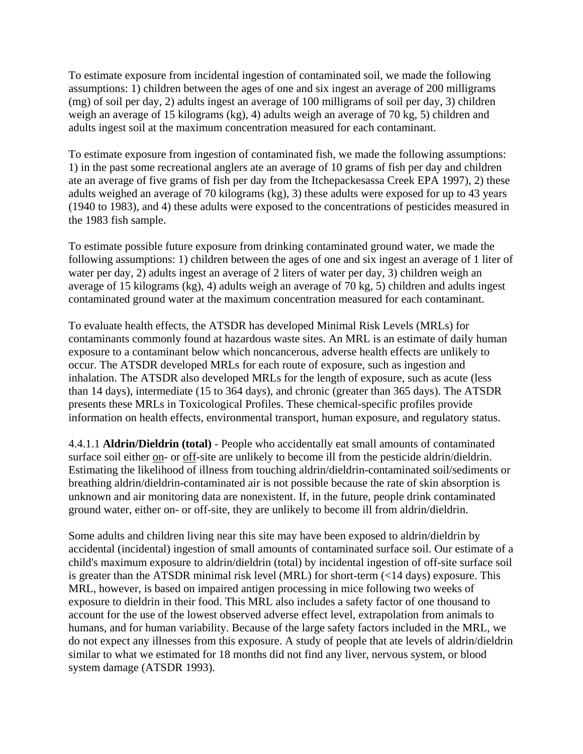To estimate exposure from incidental ingestion of contaminated soil, we made the following assumptions: 1) children between the ages of one and six ingest an average of 200 milligrams (mg) of soil per day, 2) adults ingest an average of 100 milligrams of soil per day, 3) children weigh an average of 15 kilograms (kg), 4) adults weigh an average of 70 kg, 5) children and adults ingest soil at the maximum concentration measured for each contaminant.

To estimate exposure from ingestion of contaminated fish, we made the following assumptions: 1) in the past some recreational anglers ate an average of 10 grams of fish per day and children ate an average of five grams of fish per day from the Itchepackesassa Creek EPA 1997), 2) these adults weighed an average of 70 kilograms (kg), 3) these adults were exposed for up to 43 years (1940 to 1983), and 4) these adults were exposed to the concentrations of pesticides measured in the 1983 fish sample.

To estimate possible future exposure from drinking contaminated ground water, we made the following assumptions: 1) children between the ages of one and six ingest an average of 1 liter of water per day, 2) adults ingest an average of 2 liters of water per day, 3) children weigh an average of 15 kilograms (kg), 4) adults weigh an average of 70 kg, 5) children and adults ingest contaminated ground water at the maximum concentration measured for each contaminant.

To evaluate health effects, the ATSDR has developed Minimal Risk Levels (MRLs) for contaminants commonly found at hazardous waste sites. An MRL is an estimate of daily human exposure to a contaminant below which noncancerous, adverse health effects are unlikely to occur. The ATSDR developed MRLs for each route of exposure, such as ingestion and inhalation. The ATSDR also developed MRLs for the length of exposure, such as acute (less than 14 days), intermediate (15 to 364 days), and chronic (greater than 365 days). The ATSDR presents these MRLs in Toxicological Profiles. These chemical-specific profiles provide information on health effects, environmental transport, human exposure, and regulatory status.

4.4.1.1 **Aldrin/Dieldrin (total)** - People who accidentally eat small amounts of contaminated surface soil either on- or off-site are unlikely to become ill from the pesticide aldrin/dieldrin. Estimating the likelihood of illness from touching aldrin/dieldrin-contaminated soil/sediments or breathing aldrin/dieldrin-contaminated air is not possible because the rate of skin absorption is unknown and air monitoring data are nonexistent. If, in the future, people drink contaminated ground water, either on- or off-site, they are unlikely to become ill from aldrin/dieldrin.

Some adults and children living near this site may have been exposed to aldrin/dieldrin by accidental (incidental) ingestion of small amounts of contaminated surface soil. Our estimate of a child's maximum exposure to aldrin/dieldrin (total) by incidental ingestion of off-site surface soil is greater than the ATSDR minimal risk level (MRL) for short-term (<14 days) exposure. This MRL, however, is based on impaired antigen processing in mice following two weeks of exposure to dieldrin in their food. This MRL also includes a safety factor of one thousand to account for the use of the lowest observed adverse effect level, extrapolation from animals to humans, and for human variability. Because of the large safety factors included in the MRL, we do not expect any illnesses from this exposure. A study of people that ate levels of aldrin/dieldrin similar to what we estimated for 18 months did not find any liver, nervous system, or blood system damage (ATSDR 1993).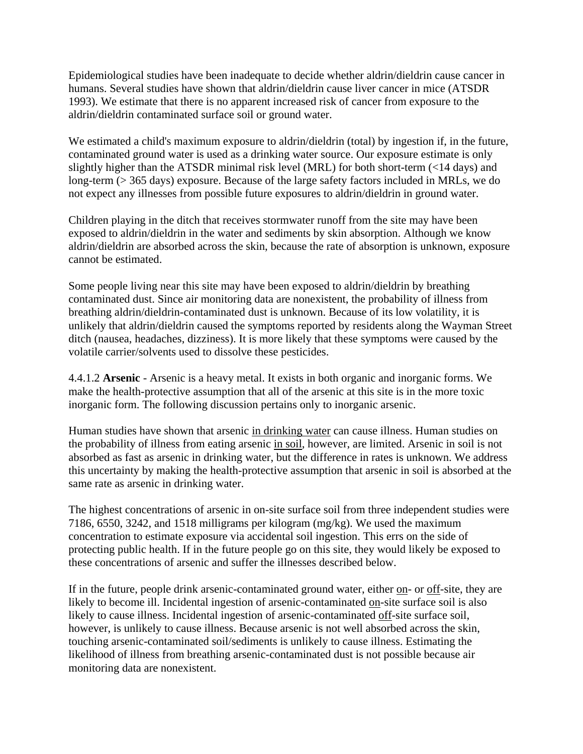Epidemiological studies have been inadequate to decide whether aldrin/dieldrin cause cancer in humans. Several studies have shown that aldrin/dieldrin cause liver cancer in mice (ATSDR 1993). We estimate that there is no apparent increased risk of cancer from exposure to the aldrin/dieldrin contaminated surface soil or ground water.

We estimated a child's maximum exposure to aldrin/dieldrin (total) by ingestion if, in the future, contaminated ground water is used as a drinking water source. Our exposure estimate is only slightly higher than the ATSDR minimal risk level (MRL) for both short-term (<14 days) and long-term (> 365 days) exposure. Because of the large safety factors included in MRLs, we do not expect any illnesses from possible future exposures to aldrin/dieldrin in ground water.

Children playing in the ditch that receives stormwater runoff from the site may have been exposed to aldrin/dieldrin in the water and sediments by skin absorption. Although we know aldrin/dieldrin are absorbed across the skin, because the rate of absorption is unknown, exposure cannot be estimated.

Some people living near this site may have been exposed to aldrin/dieldrin by breathing contaminated dust. Since air monitoring data are nonexistent, the probability of illness from breathing aldrin/dieldrin-contaminated dust is unknown. Because of its low volatility, it is unlikely that aldrin/dieldrin caused the symptoms reported by residents along the Wayman Street ditch (nausea, headaches, dizziness). It is more likely that these symptoms were caused by the volatile carrier/solvents used to dissolve these pesticides.

4.4.1.2 **Arsenic** - Arsenic is a heavy metal. It exists in both organic and inorganic forms. We make the health-protective assumption that all of the arsenic at this site is in the more toxic inorganic form. The following discussion pertains only to inorganic arsenic.

Human studies have shown that arsenic in drinking water can cause illness. Human studies on the probability of illness from eating arsenic in soil, however, are limited. Arsenic in soil is not absorbed as fast as arsenic in drinking water, but the difference in rates is unknown. We address this uncertainty by making the health-protective assumption that arsenic in soil is absorbed at the same rate as arsenic in drinking water.

The highest concentrations of arsenic in on-site surface soil from three independent studies were 7186, 6550, 3242, and 1518 milligrams per kilogram (mg/kg). We used the maximum concentration to estimate exposure via accidental soil ingestion. This errs on the side of protecting public health. If in the future people go on this site, they would likely be exposed to these concentrations of arsenic and suffer the illnesses described below.

If in the future, people drink arsenic-contaminated ground water, either on- or off-site, they are likely to become ill. Incidental ingestion of arsenic-contaminated on-site surface soil is also likely to cause illness. Incidental ingestion of arsenic-contaminated off-site surface soil, however, is unlikely to cause illness. Because arsenic is not well absorbed across the skin, touching arsenic-contaminated soil/sediments is unlikely to cause illness. Estimating the likelihood of illness from breathing arsenic-contaminated dust is not possible because air monitoring data are nonexistent.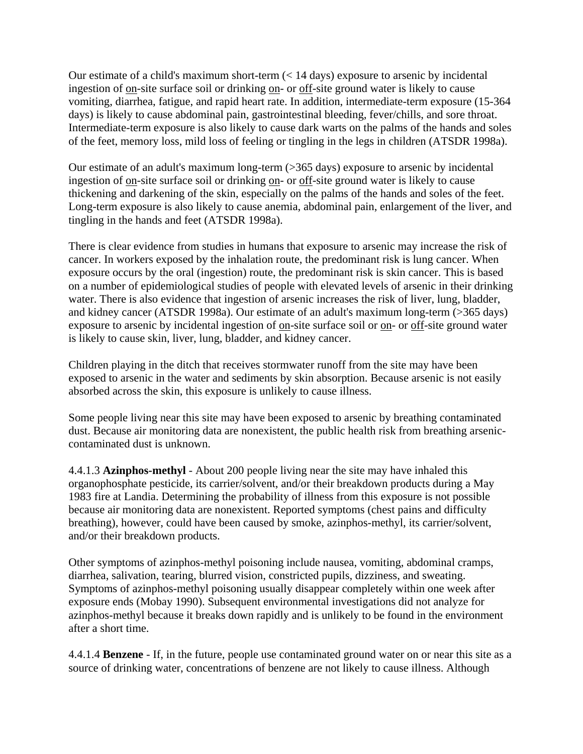Our estimate of a child's maximum short-term (< 14 days) exposure to arsenic by incidental ingestion of on-site surface soil or drinking on- or off-site ground water is likely to cause vomiting, diarrhea, fatigue, and rapid heart rate. In addition, intermediate-term exposure (15-364 days) is likely to cause abdominal pain, gastrointestinal bleeding, fever/chills, and sore throat. Intermediate-term exposure is also likely to cause dark warts on the palms of the hands and soles of the feet, memory loss, mild loss of feeling or tingling in the legs in children (ATSDR 1998a).

Our estimate of an adult's maximum long-term (>365 days) exposure to arsenic by incidental ingestion of on-site surface soil or drinking on- or off-site ground water is likely to cause thickening and darkening of the skin, especially on the palms of the hands and soles of the feet. Long-term exposure is also likely to cause anemia, abdominal pain, enlargement of the liver, and tingling in the hands and feet (ATSDR 1998a).

There is clear evidence from studies in humans that exposure to arsenic may increase the risk of cancer. In workers exposed by the inhalation route, the predominant risk is lung cancer. When exposure occurs by the oral (ingestion) route, the predominant risk is skin cancer. This is based on a number of epidemiological studies of people with elevated levels of arsenic in their drinking water. There is also evidence that ingestion of arsenic increases the risk of liver, lung, bladder, and kidney cancer (ATSDR 1998a). Our estimate of an adult's maximum long-term (>365 days) exposure to arsenic by incidental ingestion of on-site surface soil or on- or off-site ground water is likely to cause skin, liver, lung, bladder, and kidney cancer.

Children playing in the ditch that receives stormwater runoff from the site may have been exposed to arsenic in the water and sediments by skin absorption. Because arsenic is not easily absorbed across the skin, this exposure is unlikely to cause illness.

Some people living near this site may have been exposed to arsenic by breathing contaminated dust. Because air monitoring data are nonexistent, the public health risk from breathing arseniccontaminated dust is unknown.

4.4.1.3 **Azinphos-methyl** - About 200 people living near the site may have inhaled this organophosphate pesticide, its carrier/solvent, and/or their breakdown products during a May 1983 fire at Landia. Determining the probability of illness from this exposure is not possible because air monitoring data are nonexistent. Reported symptoms (chest pains and difficulty breathing), however, could have been caused by smoke, azinphos-methyl, its carrier/solvent, and/or their breakdown products.

Other symptoms of azinphos-methyl poisoning include nausea, vomiting, abdominal cramps, diarrhea, salivation, tearing, blurred vision, constricted pupils, dizziness, and sweating. Symptoms of azinphos-methyl poisoning usually disappear completely within one week after exposure ends (Mobay 1990). Subsequent environmental investigations did not analyze for azinphos-methyl because it breaks down rapidly and is unlikely to be found in the environment after a short time.

4.4.1.4 **Benzene** - If, in the future, people use contaminated ground water on or near this site as a source of drinking water, concentrations of benzene are not likely to cause illness. Although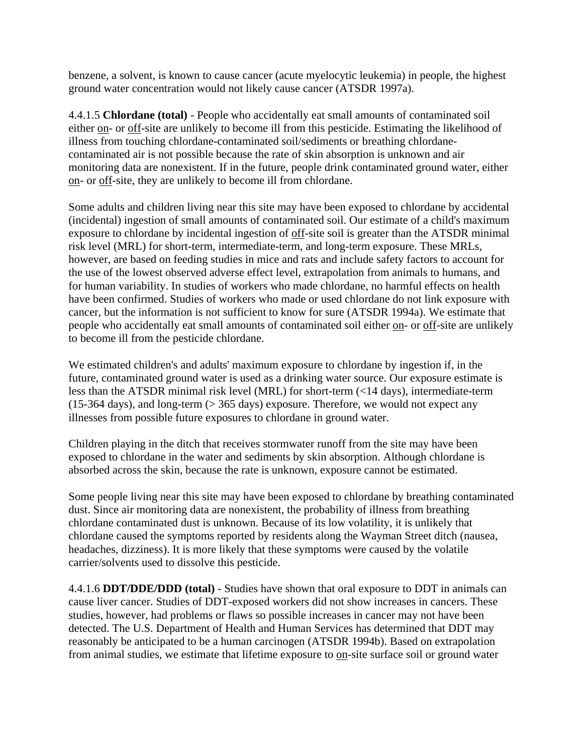benzene, a solvent, is known to cause cancer (acute myelocytic leukemia) in people, the highest ground water concentration would not likely cause cancer (ATSDR 1997a).

4.4.1.5 **Chlordane (total)** - People who accidentally eat small amounts of contaminated soil either on- or off-site are unlikely to become ill from this pesticide. Estimating the likelihood of illness from touching chlordane-contaminated soil/sediments or breathing chlordanecontaminated air is not possible because the rate of skin absorption is unknown and air monitoring data are nonexistent. If in the future, people drink contaminated ground water, either on- or off-site, they are unlikely to become ill from chlordane.

Some adults and children living near this site may have been exposed to chlordane by accidental (incidental) ingestion of small amounts of contaminated soil. Our estimate of a child's maximum exposure to chlordane by incidental ingestion of off-site soil is greater than the ATSDR minimal risk level (MRL) for short-term, intermediate-term, and long-term exposure. These MRLs, however, are based on feeding studies in mice and rats and include safety factors to account for the use of the lowest observed adverse effect level, extrapolation from animals to humans, and for human variability. In studies of workers who made chlordane, no harmful effects on health have been confirmed. Studies of workers who made or used chlordane do not link exposure with cancer, but the information is not sufficient to know for sure (ATSDR 1994a). We estimate that people who accidentally eat small amounts of contaminated soil either on- or off-site are unlikely to become ill from the pesticide chlordane.

We estimated children's and adults' maximum exposure to chlordane by ingestion if, in the future, contaminated ground water is used as a drinking water source. Our exposure estimate is less than the ATSDR minimal risk level (MRL) for short-term (<14 days), intermediate-term (15-364 days), and long-term  $($  > 365 days) exposure. Therefore, we would not expect any illnesses from possible future exposures to chlordane in ground water.

Children playing in the ditch that receives stormwater runoff from the site may have been exposed to chlordane in the water and sediments by skin absorption. Although chlordane is absorbed across the skin, because the rate is unknown, exposure cannot be estimated.

Some people living near this site may have been exposed to chlordane by breathing contaminated dust. Since air monitoring data are nonexistent, the probability of illness from breathing chlordane contaminated dust is unknown. Because of its low volatility, it is unlikely that chlordane caused the symptoms reported by residents along the Wayman Street ditch (nausea, headaches, dizziness). It is more likely that these symptoms were caused by the volatile carrier/solvents used to dissolve this pesticide.

4.4.1.6 **DDT/DDE/DDD (total)** - Studies have shown that oral exposure to DDT in animals can cause liver cancer. Studies of DDT-exposed workers did not show increases in cancers. These studies, however, had problems or flaws so possible increases in cancer may not have been detected. The U.S. Department of Health and Human Services has determined that DDT may reasonably be anticipated to be a human carcinogen (ATSDR 1994b). Based on extrapolation from animal studies, we estimate that lifetime exposure to on-site surface soil or ground water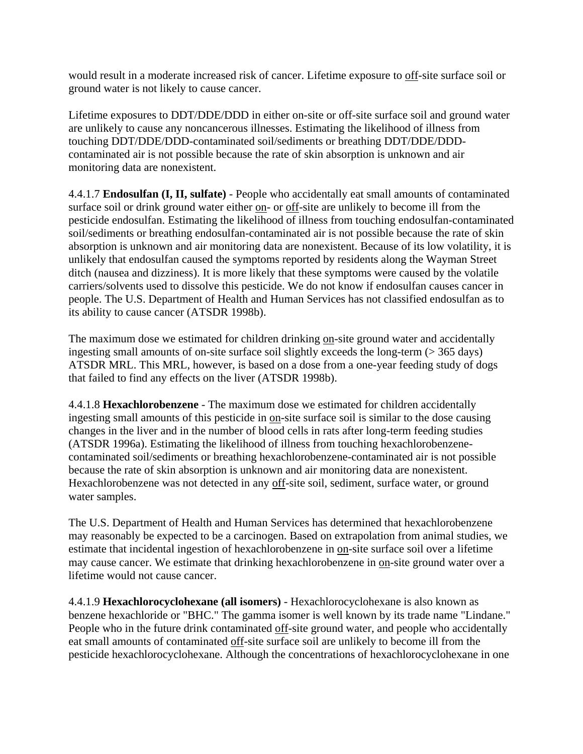would result in a moderate increased risk of cancer. Lifetime exposure to off-site surface soil or ground water is not likely to cause cancer.

Lifetime exposures to DDT/DDE/DDD in either on-site or off-site surface soil and ground water are unlikely to cause any noncancerous illnesses. Estimating the likelihood of illness from touching DDT/DDE/DDD-contaminated soil/sediments or breathing DDT/DDE/DDDcontaminated air is not possible because the rate of skin absorption is unknown and air monitoring data are nonexistent.

4.4.1.7 **Endosulfan (I, II, sulfate)** - People who accidentally eat small amounts of contaminated surface soil or drink ground water either on- or off-site are unlikely to become ill from the pesticide endosulfan. Estimating the likelihood of illness from touching endosulfan-contaminated soil/sediments or breathing endosulfan-contaminated air is not possible because the rate of skin absorption is unknown and air monitoring data are nonexistent. Because of its low volatility, it is unlikely that endosulfan caused the symptoms reported by residents along the Wayman Street ditch (nausea and dizziness). It is more likely that these symptoms were caused by the volatile carriers/solvents used to dissolve this pesticide. We do not know if endosulfan causes cancer in people. The U.S. Department of Health and Human Services has not classified endosulfan as to its ability to cause cancer (ATSDR 1998b).

The maximum dose we estimated for children drinking on-site ground water and accidentally ingesting small amounts of on-site surface soil slightly exceeds the long-term  $($  > 365 days) ATSDR MRL. This MRL, however, is based on a dose from a one-year feeding study of dogs that failed to find any effects on the liver (ATSDR 1998b).

4.4.1.8 **Hexachlorobenzene** - The maximum dose we estimated for children accidentally ingesting small amounts of this pesticide in on-site surface soil is similar to the dose causing changes in the liver and in the number of blood cells in rats after long-term feeding studies (ATSDR 1996a). Estimating the likelihood of illness from touching hexachlorobenzenecontaminated soil/sediments or breathing hexachlorobenzene-contaminated air is not possible because the rate of skin absorption is unknown and air monitoring data are nonexistent. Hexachlorobenzene was not detected in any off-site soil, sediment, surface water, or ground water samples.

The U.S. Department of Health and Human Services has determined that hexachlorobenzene may reasonably be expected to be a carcinogen. Based on extrapolation from animal studies, we estimate that incidental ingestion of hexachlorobenzene in on-site surface soil over a lifetime may cause cancer. We estimate that drinking hexachlorobenzene in on-site ground water over a lifetime would not cause cancer.

4.4.1.9 **Hexachlorocyclohexane (all isomers)** - Hexachlorocyclohexane is also known as benzene hexachloride or "BHC." The gamma isomer is well known by its trade name "Lindane." People who in the future drink contaminated off-site ground water, and people who accidentally eat small amounts of contaminated off-site surface soil are unlikely to become ill from the pesticide hexachlorocyclohexane. Although the concentrations of hexachlorocyclohexane in one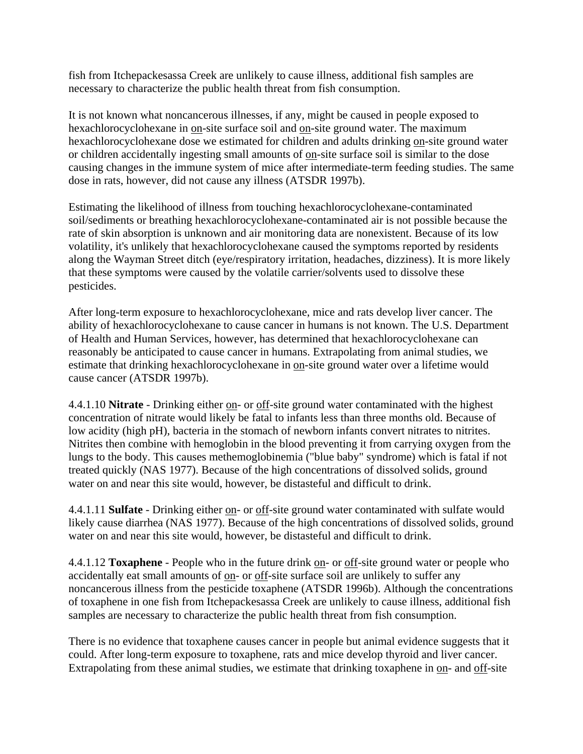fish from Itchepackesassa Creek are unlikely to cause illness, additional fish samples are necessary to characterize the public health threat from fish consumption.

It is not known what noncancerous illnesses, if any, might be caused in people exposed to hexachlorocyclohexane in on-site surface soil and on-site ground water. The maximum hexachlorocyclohexane dose we estimated for children and adults drinking on-site ground water or children accidentally ingesting small amounts of on-site surface soil is similar to the dose causing changes in the immune system of mice after intermediate-term feeding studies. The same dose in rats, however, did not cause any illness (ATSDR 1997b).

Estimating the likelihood of illness from touching hexachlorocyclohexane-contaminated soil/sediments or breathing hexachlorocyclohexane-contaminated air is not possible because the rate of skin absorption is unknown and air monitoring data are nonexistent. Because of its low volatility, it's unlikely that hexachlorocyclohexane caused the symptoms reported by residents along the Wayman Street ditch (eye/respiratory irritation, headaches, dizziness). It is more likely that these symptoms were caused by the volatile carrier/solvents used to dissolve these pesticides.

After long-term exposure to hexachlorocyclohexane, mice and rats develop liver cancer. The ability of hexachlorocyclohexane to cause cancer in humans is not known. The U.S. Department of Health and Human Services, however, has determined that hexachlorocyclohexane can reasonably be anticipated to cause cancer in humans. Extrapolating from animal studies, we estimate that drinking hexachlorocyclohexane in on-site ground water over a lifetime would cause cancer (ATSDR 1997b).

4.4.1.10 **Nitrate** - Drinking either on- or off-site ground water contaminated with the highest concentration of nitrate would likely be fatal to infants less than three months old. Because of low acidity (high pH), bacteria in the stomach of newborn infants convert nitrates to nitrites. Nitrites then combine with hemoglobin in the blood preventing it from carrying oxygen from the lungs to the body. This causes methemoglobinemia ("blue baby" syndrome) which is fatal if not treated quickly (NAS 1977). Because of the high concentrations of dissolved solids, ground water on and near this site would, however, be distasteful and difficult to drink.

4.4.1.11 **Sulfate** - Drinking either on- or off-site ground water contaminated with sulfate would likely cause diarrhea (NAS 1977). Because of the high concentrations of dissolved solids, ground water on and near this site would, however, be distasteful and difficult to drink.

4.4.1.12 **Toxaphene** - People who in the future drink on- or off-site ground water or people who accidentally eat small amounts of on- or off-site surface soil are unlikely to suffer any noncancerous illness from the pesticide toxaphene (ATSDR 1996b). Although the concentrations of toxaphene in one fish from Itchepackesassa Creek are unlikely to cause illness, additional fish samples are necessary to characterize the public health threat from fish consumption.

There is no evidence that toxaphene causes cancer in people but animal evidence suggests that it could. After long-term exposure to toxaphene, rats and mice develop thyroid and liver cancer. Extrapolating from these animal studies, we estimate that drinking toxaphene in on- and off-site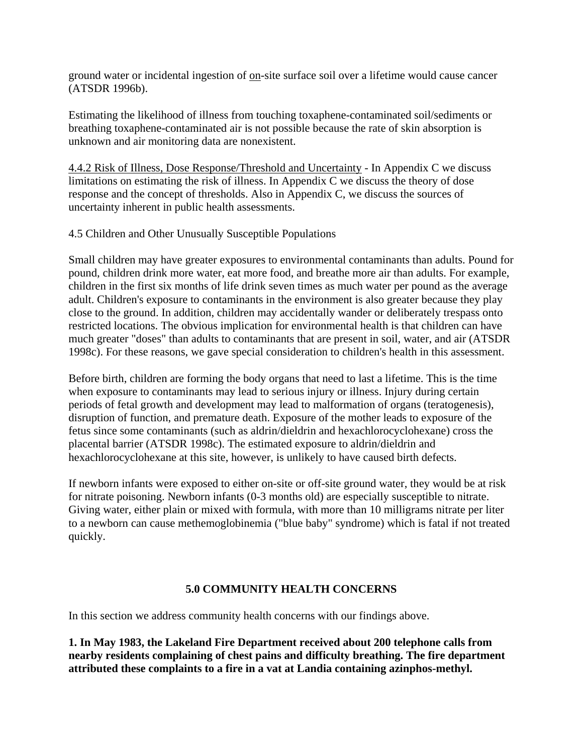ground water or incidental ingestion of on-site surface soil over a lifetime would cause cancer (ATSDR 1996b).

Estimating the likelihood of illness from touching toxaphene-contaminated soil/sediments or breathing toxaphene-contaminated air is not possible because the rate of skin absorption is unknown and air monitoring data are nonexistent.

4.4.2 Risk of Illness, Dose Response/Threshold and Uncertainty - In Appendix C we discuss limitations on estimating the risk of illness. In Appendix C we discuss the theory of dose response and the concept of thresholds. Also in Appendix C, we discuss the sources of uncertainty inherent in public health assessments.

4.5 Children and Other Unusually Susceptible Populations

Small children may have greater exposures to environmental contaminants than adults. Pound for pound, children drink more water, eat more food, and breathe more air than adults. For example, children in the first six months of life drink seven times as much water per pound as the average adult. Children's exposure to contaminants in the environment is also greater because they play close to the ground. In addition, children may accidentally wander or deliberately trespass onto restricted locations. The obvious implication for environmental health is that children can have much greater "doses" than adults to contaminants that are present in soil, water, and air (ATSDR 1998c). For these reasons, we gave special consideration to children's health in this assessment.

Before birth, children are forming the body organs that need to last a lifetime. This is the time when exposure to contaminants may lead to serious injury or illness. Injury during certain periods of fetal growth and development may lead to malformation of organs (teratogenesis), disruption of function, and premature death. Exposure of the mother leads to exposure of the fetus since some contaminants (such as aldrin/dieldrin and hexachlorocyclohexane) cross the placental barrier (ATSDR 1998c). The estimated exposure to aldrin/dieldrin and hexachlorocyclohexane at this site, however, is unlikely to have caused birth defects.

If newborn infants were exposed to either on-site or off-site ground water, they would be at risk for nitrate poisoning. Newborn infants (0-3 months old) are especially susceptible to nitrate. Giving water, either plain or mixed with formula, with more than 10 milligrams nitrate per liter to a newborn can cause methemoglobinemia ("blue baby" syndrome) which is fatal if not treated quickly.

# **5.0 COMMUNITY HEALTH CONCERNS**

In this section we address community health concerns with our findings above.

**1. In May 1983, the Lakeland Fire Department received about 200 telephone calls from nearby residents complaining of chest pains and difficulty breathing. The fire department attributed these complaints to a fire in a vat at Landia containing azinphos-methyl.**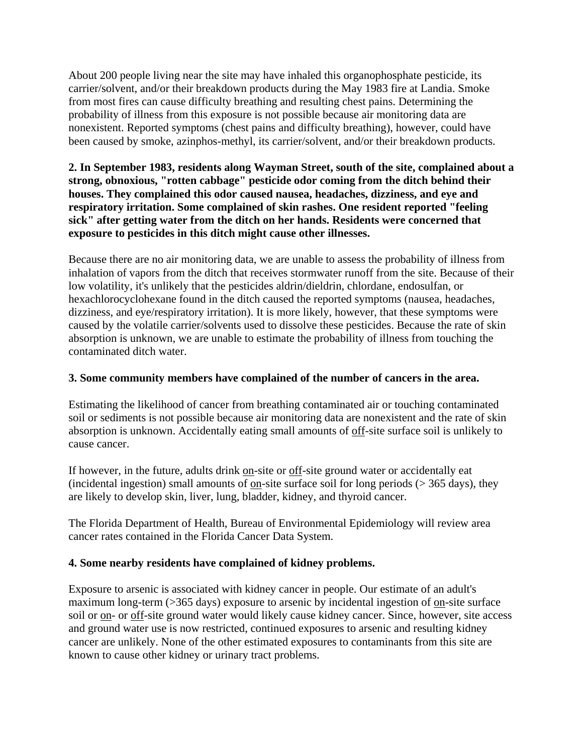About 200 people living near the site may have inhaled this organophosphate pesticide, its carrier/solvent, and/or their breakdown products during the May 1983 fire at Landia. Smoke from most fires can cause difficulty breathing and resulting chest pains. Determining the probability of illness from this exposure is not possible because air monitoring data are nonexistent. Reported symptoms (chest pains and difficulty breathing), however, could have been caused by smoke, azinphos-methyl, its carrier/solvent, and/or their breakdown products.

#### **2. In September 1983, residents along Wayman Street, south of the site, complained about a strong, obnoxious, "rotten cabbage" pesticide odor coming from the ditch behind their houses. They complained this odor caused nausea, headaches, dizziness, and eye and respiratory irritation. Some complained of skin rashes. One resident reported "feeling sick" after getting water from the ditch on her hands. Residents were concerned that exposure to pesticides in this ditch might cause other illnesses.**

Because there are no air monitoring data, we are unable to assess the probability of illness from inhalation of vapors from the ditch that receives stormwater runoff from the site. Because of their low volatility, it's unlikely that the pesticides aldrin/dieldrin, chlordane, endosulfan, or hexachlorocyclohexane found in the ditch caused the reported symptoms (nausea, headaches, dizziness, and eye/respiratory irritation). It is more likely, however, that these symptoms were caused by the volatile carrier/solvents used to dissolve these pesticides. Because the rate of skin absorption is unknown, we are unable to estimate the probability of illness from touching the contaminated ditch water.

# **3. Some community members have complained of the number of cancers in the area.**

Estimating the likelihood of cancer from breathing contaminated air or touching contaminated soil or sediments is not possible because air monitoring data are nonexistent and the rate of skin absorption is unknown. Accidentally eating small amounts of off-site surface soil is unlikely to cause cancer.

If however, in the future, adults drink on-site or off-site ground water or accidentally eat (incidental ingestion) small amounts of <u>on</u>-site surface soil for long periods ( $>$  365 days), they are likely to develop skin, liver, lung, bladder, kidney, and thyroid cancer.

The Florida Department of Health, Bureau of Environmental Epidemiology will review area cancer rates contained in the Florida Cancer Data System.

# **4. Some nearby residents have complained of kidney problems.**

Exposure to arsenic is associated with kidney cancer in people. Our estimate of an adult's maximum long-term (>365 days) exposure to arsenic by incidental ingestion of on-site surface soil or on- or off-site ground water would likely cause kidney cancer. Since, however, site access and ground water use is now restricted, continued exposures to arsenic and resulting kidney cancer are unlikely. None of the other estimated exposures to contaminants from this site are known to cause other kidney or urinary tract problems.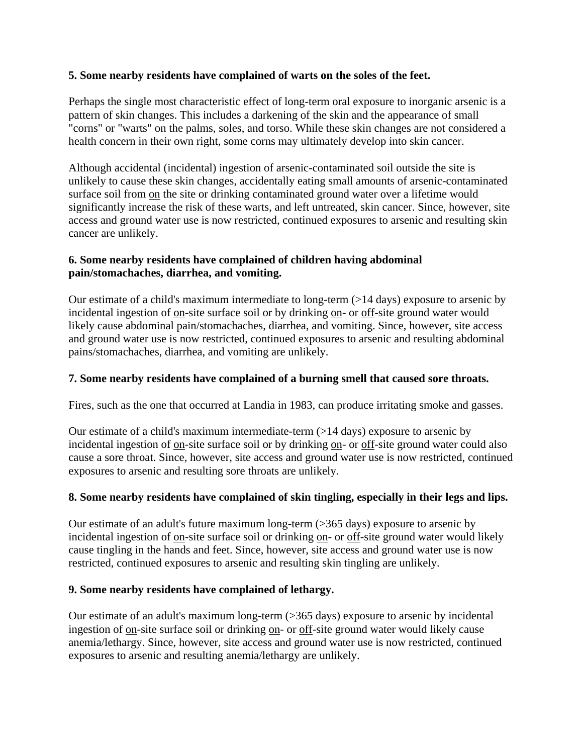#### **5. Some nearby residents have complained of warts on the soles of the feet.**

Perhaps the single most characteristic effect of long-term oral exposure to inorganic arsenic is a pattern of skin changes. This includes a darkening of the skin and the appearance of small "corns" or "warts" on the palms, soles, and torso. While these skin changes are not considered a health concern in their own right, some corns may ultimately develop into skin cancer.

Although accidental (incidental) ingestion of arsenic-contaminated soil outside the site is unlikely to cause these skin changes, accidentally eating small amounts of arsenic-contaminated surface soil from on the site or drinking contaminated ground water over a lifetime would significantly increase the risk of these warts, and left untreated, skin cancer. Since, however, site access and ground water use is now restricted, continued exposures to arsenic and resulting skin cancer are unlikely.

# **6. Some nearby residents have complained of children having abdominal pain/stomachaches, diarrhea, and vomiting.**

Our estimate of a child's maximum intermediate to long-term (>14 days) exposure to arsenic by incidental ingestion of on-site surface soil or by drinking on- or off-site ground water would likely cause abdominal pain/stomachaches, diarrhea, and vomiting. Since, however, site access and ground water use is now restricted, continued exposures to arsenic and resulting abdominal pains/stomachaches, diarrhea, and vomiting are unlikely.

#### **7. Some nearby residents have complained of a burning smell that caused sore throats.**

Fires, such as the one that occurred at Landia in 1983, can produce irritating smoke and gasses.

Our estimate of a child's maximum intermediate-term (>14 days) exposure to arsenic by incidental ingestion of on-site surface soil or by drinking on- or off-site ground water could also cause a sore throat. Since, however, site access and ground water use is now restricted, continued exposures to arsenic and resulting sore throats are unlikely.

# **8. Some nearby residents have complained of skin tingling, especially in their legs and lips.**

Our estimate of an adult's future maximum long-term (>365 days) exposure to arsenic by incidental ingestion of on-site surface soil or drinking on- or off-site ground water would likely cause tingling in the hands and feet. Since, however, site access and ground water use is now restricted, continued exposures to arsenic and resulting skin tingling are unlikely.

#### **9. Some nearby residents have complained of lethargy.**

Our estimate of an adult's maximum long-term (>365 days) exposure to arsenic by incidental ingestion of on-site surface soil or drinking on- or off-site ground water would likely cause anemia/lethargy. Since, however, site access and ground water use is now restricted, continued exposures to arsenic and resulting anemia/lethargy are unlikely.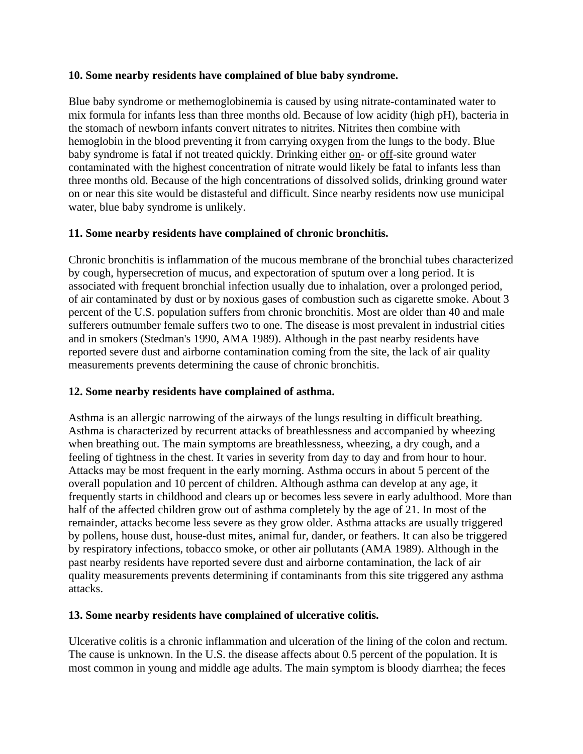#### **10. Some nearby residents have complained of blue baby syndrome.**

Blue baby syndrome or methemoglobinemia is caused by using nitrate-contaminated water to mix formula for infants less than three months old. Because of low acidity (high pH), bacteria in the stomach of newborn infants convert nitrates to nitrites. Nitrites then combine with hemoglobin in the blood preventing it from carrying oxygen from the lungs to the body. Blue baby syndrome is fatal if not treated quickly. Drinking either on- or off-site ground water contaminated with the highest concentration of nitrate would likely be fatal to infants less than three months old. Because of the high concentrations of dissolved solids, drinking ground water on or near this site would be distasteful and difficult. Since nearby residents now use municipal water, blue baby syndrome is unlikely.

# **11. Some nearby residents have complained of chronic bronchitis.**

Chronic bronchitis is inflammation of the mucous membrane of the bronchial tubes characterized by cough, hypersecretion of mucus, and expectoration of sputum over a long period. It is associated with frequent bronchial infection usually due to inhalation, over a prolonged period, of air contaminated by dust or by noxious gases of combustion such as cigarette smoke. About 3 percent of the U.S. population suffers from chronic bronchitis. Most are older than 40 and male sufferers outnumber female suffers two to one. The disease is most prevalent in industrial cities and in smokers (Stedman's 1990, AMA 1989). Although in the past nearby residents have reported severe dust and airborne contamination coming from the site, the lack of air quality measurements prevents determining the cause of chronic bronchitis.

# **12. Some nearby residents have complained of asthma.**

Asthma is an allergic narrowing of the airways of the lungs resulting in difficult breathing. Asthma is characterized by recurrent attacks of breathlessness and accompanied by wheezing when breathing out. The main symptoms are breathlessness, wheezing, a dry cough, and a feeling of tightness in the chest. It varies in severity from day to day and from hour to hour. Attacks may be most frequent in the early morning. Asthma occurs in about 5 percent of the overall population and 10 percent of children. Although asthma can develop at any age, it frequently starts in childhood and clears up or becomes less severe in early adulthood. More than half of the affected children grow out of asthma completely by the age of 21. In most of the remainder, attacks become less severe as they grow older. Asthma attacks are usually triggered by pollens, house dust, house-dust mites, animal fur, dander, or feathers. It can also be triggered by respiratory infections, tobacco smoke, or other air pollutants (AMA 1989). Although in the past nearby residents have reported severe dust and airborne contamination, the lack of air quality measurements prevents determining if contaminants from this site triggered any asthma attacks.

# **13. Some nearby residents have complained of ulcerative colitis.**

Ulcerative colitis is a chronic inflammation and ulceration of the lining of the colon and rectum. The cause is unknown. In the U.S. the disease affects about 0.5 percent of the population. It is most common in young and middle age adults. The main symptom is bloody diarrhea; the feces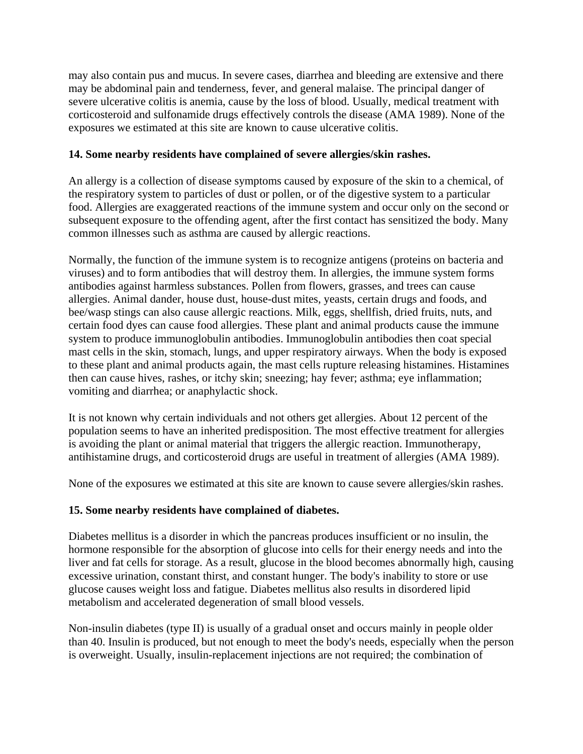may also contain pus and mucus. In severe cases, diarrhea and bleeding are extensive and there may be abdominal pain and tenderness, fever, and general malaise. The principal danger of severe ulcerative colitis is anemia, cause by the loss of blood. Usually, medical treatment with corticosteroid and sulfonamide drugs effectively controls the disease (AMA 1989). None of the exposures we estimated at this site are known to cause ulcerative colitis.

#### **14. Some nearby residents have complained of severe allergies/skin rashes.**

An allergy is a collection of disease symptoms caused by exposure of the skin to a chemical, of the respiratory system to particles of dust or pollen, or of the digestive system to a particular food. Allergies are exaggerated reactions of the immune system and occur only on the second or subsequent exposure to the offending agent, after the first contact has sensitized the body. Many common illnesses such as asthma are caused by allergic reactions.

Normally, the function of the immune system is to recognize antigens (proteins on bacteria and viruses) and to form antibodies that will destroy them. In allergies, the immune system forms antibodies against harmless substances. Pollen from flowers, grasses, and trees can cause allergies. Animal dander, house dust, house-dust mites, yeasts, certain drugs and foods, and bee/wasp stings can also cause allergic reactions. Milk, eggs, shellfish, dried fruits, nuts, and certain food dyes can cause food allergies. These plant and animal products cause the immune system to produce immunoglobulin antibodies. Immunoglobulin antibodies then coat special mast cells in the skin, stomach, lungs, and upper respiratory airways. When the body is exposed to these plant and animal products again, the mast cells rupture releasing histamines. Histamines then can cause hives, rashes, or itchy skin; sneezing; hay fever; asthma; eye inflammation; vomiting and diarrhea; or anaphylactic shock.

It is not known why certain individuals and not others get allergies. About 12 percent of the population seems to have an inherited predisposition. The most effective treatment for allergies is avoiding the plant or animal material that triggers the allergic reaction. Immunotherapy, antihistamine drugs, and corticosteroid drugs are useful in treatment of allergies (AMA 1989).

None of the exposures we estimated at this site are known to cause severe allergies/skin rashes.

#### **15. Some nearby residents have complained of diabetes.**

Diabetes mellitus is a disorder in which the pancreas produces insufficient or no insulin, the hormone responsible for the absorption of glucose into cells for their energy needs and into the liver and fat cells for storage. As a result, glucose in the blood becomes abnormally high, causing excessive urination, constant thirst, and constant hunger. The body's inability to store or use glucose causes weight loss and fatigue. Diabetes mellitus also results in disordered lipid metabolism and accelerated degeneration of small blood vessels.

Non-insulin diabetes (type II) is usually of a gradual onset and occurs mainly in people older than 40. Insulin is produced, but not enough to meet the body's needs, especially when the person is overweight. Usually, insulin-replacement injections are not required; the combination of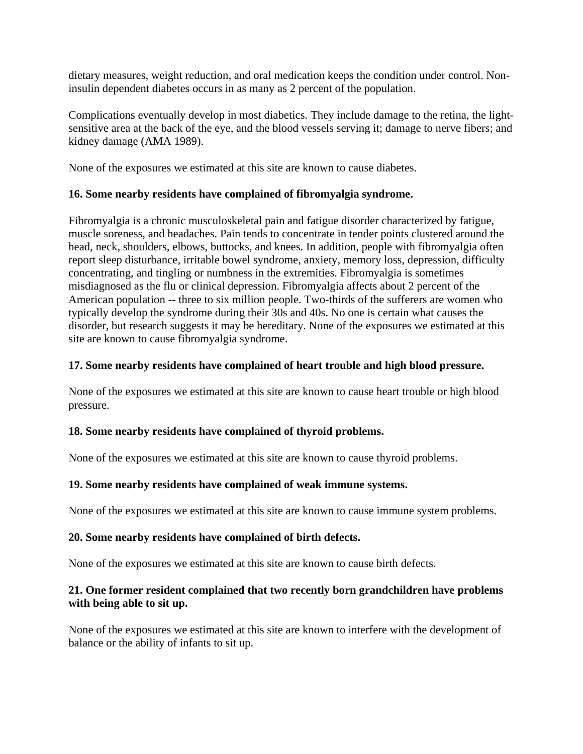dietary measures, weight reduction, and oral medication keeps the condition under control. Noninsulin dependent diabetes occurs in as many as 2 percent of the population.

Complications eventually develop in most diabetics. They include damage to the retina, the lightsensitive area at the back of the eye, and the blood vessels serving it; damage to nerve fibers; and kidney damage (AMA 1989).

None of the exposures we estimated at this site are known to cause diabetes.

# **16. Some nearby residents have complained of fibromyalgia syndrome.**

Fibromyalgia is a chronic musculoskeletal pain and fatigue disorder characterized by fatigue, muscle soreness, and headaches. Pain tends to concentrate in tender points clustered around the head, neck, shoulders, elbows, buttocks, and knees. In addition, people with fibromyalgia often report sleep disturbance, irritable bowel syndrome, anxiety, memory loss, depression, difficulty concentrating, and tingling or numbness in the extremities. Fibromyalgia is sometimes misdiagnosed as the flu or clinical depression. Fibromyalgia affects about 2 percent of the American population -- three to six million people. Two-thirds of the sufferers are women who typically develop the syndrome during their 30s and 40s. No one is certain what causes the disorder, but research suggests it may be hereditary. None of the exposures we estimated at this site are known to cause fibromyalgia syndrome.

#### **17. Some nearby residents have complained of heart trouble and high blood pressure.**

None of the exposures we estimated at this site are known to cause heart trouble or high blood pressure.

# **18. Some nearby residents have complained of thyroid problems.**

None of the exposures we estimated at this site are known to cause thyroid problems.

# **19. Some nearby residents have complained of weak immune systems.**

None of the exposures we estimated at this site are known to cause immune system problems.

#### **20. Some nearby residents have complained of birth defects.**

None of the exposures we estimated at this site are known to cause birth defects.

# **21. One former resident complained that two recently born grandchildren have problems with being able to sit up.**

None of the exposures we estimated at this site are known to interfere with the development of balance or the ability of infants to sit up.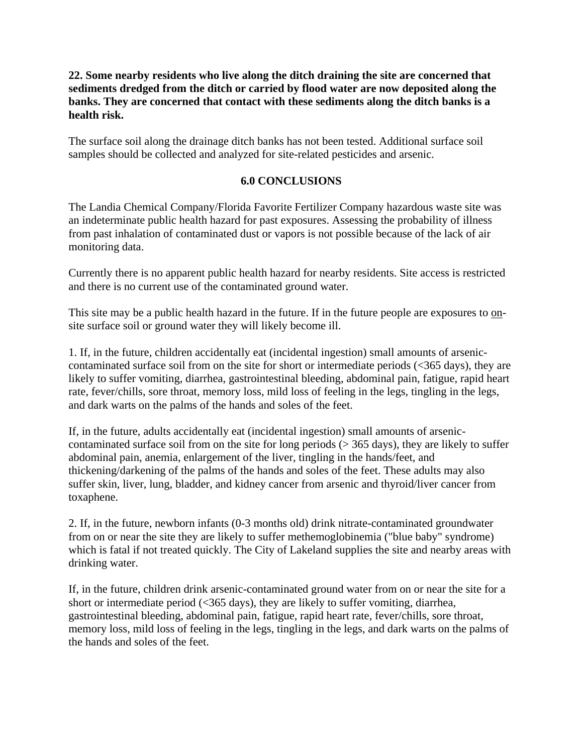#### **22. Some nearby residents who live along the ditch draining the site are concerned that sediments dredged from the ditch or carried by flood water are now deposited along the banks. They are concerned that contact with these sediments along the ditch banks is a health risk.**

The surface soil along the drainage ditch banks has not been tested. Additional surface soil samples should be collected and analyzed for site-related pesticides and arsenic.

#### **6.0 CONCLUSIONS**

The Landia Chemical Company/Florida Favorite Fertilizer Company hazardous waste site was an indeterminate public health hazard for past exposures. Assessing the probability of illness from past inhalation of contaminated dust or vapors is not possible because of the lack of air monitoring data.

Currently there is no apparent public health hazard for nearby residents. Site access is restricted and there is no current use of the contaminated ground water.

This site may be a public health hazard in the future. If in the future people are exposures to onsite surface soil or ground water they will likely become ill.

1. If, in the future, children accidentally eat (incidental ingestion) small amounts of arseniccontaminated surface soil from on the site for short or intermediate periods (<365 days), they are likely to suffer vomiting, diarrhea, gastrointestinal bleeding, abdominal pain, fatigue, rapid heart rate, fever/chills, sore throat, memory loss, mild loss of feeling in the legs, tingling in the legs, and dark warts on the palms of the hands and soles of the feet.

If, in the future, adults accidentally eat (incidental ingestion) small amounts of arseniccontaminated surface soil from on the site for long periods (> 365 days), they are likely to suffer abdominal pain, anemia, enlargement of the liver, tingling in the hands/feet, and thickening/darkening of the palms of the hands and soles of the feet. These adults may also suffer skin, liver, lung, bladder, and kidney cancer from arsenic and thyroid/liver cancer from toxaphene.

2. If, in the future, newborn infants (0-3 months old) drink nitrate-contaminated groundwater from on or near the site they are likely to suffer methemoglobinemia ("blue baby" syndrome) which is fatal if not treated quickly. The City of Lakeland supplies the site and nearby areas with drinking water.

If, in the future, children drink arsenic-contaminated ground water from on or near the site for a short or intermediate period (<365 days), they are likely to suffer vomiting, diarrhea, gastrointestinal bleeding, abdominal pain, fatigue, rapid heart rate, fever/chills, sore throat, memory loss, mild loss of feeling in the legs, tingling in the legs, and dark warts on the palms of the hands and soles of the feet.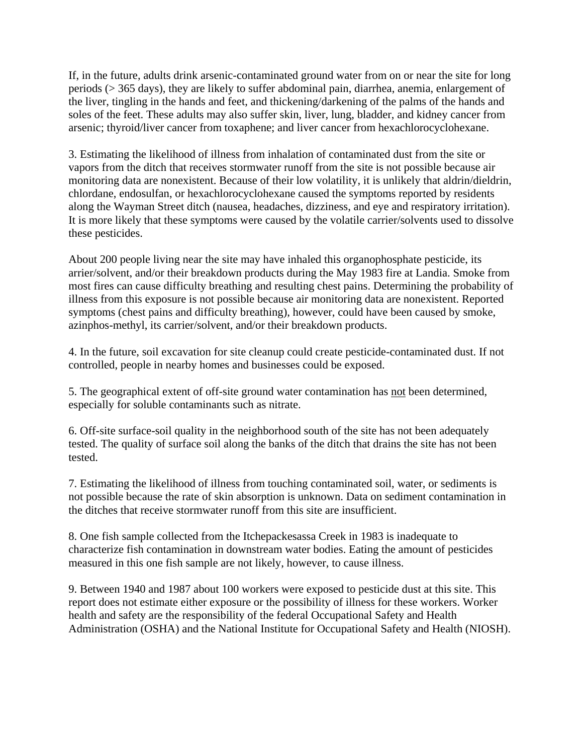If, in the future, adults drink arsenic-contaminated ground water from on or near the site for long periods (> 365 days), they are likely to suffer abdominal pain, diarrhea, anemia, enlargement of the liver, tingling in the hands and feet, and thickening/darkening of the palms of the hands and soles of the feet. These adults may also suffer skin, liver, lung, bladder, and kidney cancer from arsenic; thyroid/liver cancer from toxaphene; and liver cancer from hexachlorocyclohexane.

3. Estimating the likelihood of illness from inhalation of contaminated dust from the site or vapors from the ditch that receives stormwater runoff from the site is not possible because air monitoring data are nonexistent. Because of their low volatility, it is unlikely that aldrin/dieldrin, chlordane, endosulfan, or hexachlorocyclohexane caused the symptoms reported by residents along the Wayman Street ditch (nausea, headaches, dizziness, and eye and respiratory irritation). It is more likely that these symptoms were caused by the volatile carrier/solvents used to dissolve these pesticides.

About 200 people living near the site may have inhaled this organophosphate pesticide, its arrier/solvent, and/or their breakdown products during the May 1983 fire at Landia. Smoke from most fires can cause difficulty breathing and resulting chest pains. Determining the probability of illness from this exposure is not possible because air monitoring data are nonexistent. Reported symptoms (chest pains and difficulty breathing), however, could have been caused by smoke, azinphos-methyl, its carrier/solvent, and/or their breakdown products.

4. In the future, soil excavation for site cleanup could create pesticide-contaminated dust. If not controlled, people in nearby homes and businesses could be exposed.

5. The geographical extent of off-site ground water contamination has not been determined, especially for soluble contaminants such as nitrate.

6. Off-site surface-soil quality in the neighborhood south of the site has not been adequately tested. The quality of surface soil along the banks of the ditch that drains the site has not been tested.

7. Estimating the likelihood of illness from touching contaminated soil, water, or sediments is not possible because the rate of skin absorption is unknown. Data on sediment contamination in the ditches that receive stormwater runoff from this site are insufficient.

8. One fish sample collected from the Itchepackesassa Creek in 1983 is inadequate to characterize fish contamination in downstream water bodies. Eating the amount of pesticides measured in this one fish sample are not likely, however, to cause illness.

9. Between 1940 and 1987 about 100 workers were exposed to pesticide dust at this site. This report does not estimate either exposure or the possibility of illness for these workers. Worker health and safety are the responsibility of the federal Occupational Safety and Health Administration (OSHA) and the National Institute for Occupational Safety and Health (NIOSH).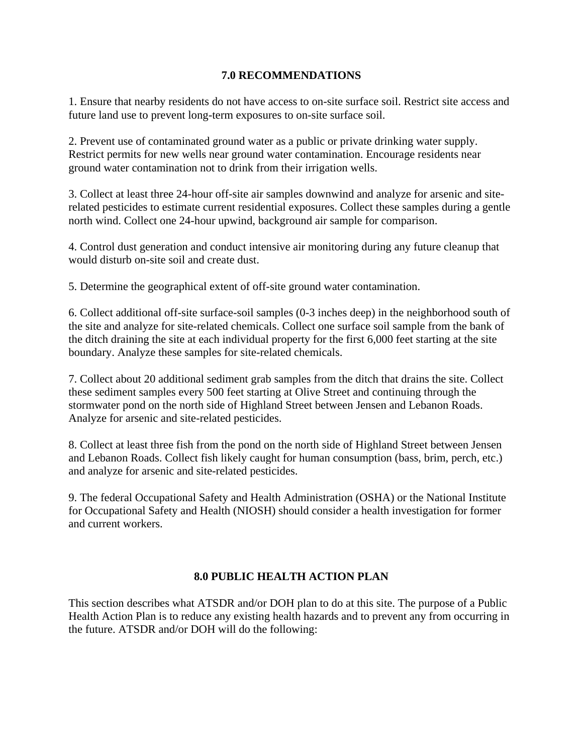#### **7.0 RECOMMENDATIONS**

1. Ensure that nearby residents do not have access to on-site surface soil. Restrict site access and future land use to prevent long-term exposures to on-site surface soil.

2. Prevent use of contaminated ground water as a public or private drinking water supply. Restrict permits for new wells near ground water contamination. Encourage residents near ground water contamination not to drink from their irrigation wells.

3. Collect at least three 24-hour off-site air samples downwind and analyze for arsenic and siterelated pesticides to estimate current residential exposures. Collect these samples during a gentle north wind. Collect one 24-hour upwind, background air sample for comparison.

4. Control dust generation and conduct intensive air monitoring during any future cleanup that would disturb on-site soil and create dust.

5. Determine the geographical extent of off-site ground water contamination.

6. Collect additional off-site surface-soil samples (0-3 inches deep) in the neighborhood south of the site and analyze for site-related chemicals. Collect one surface soil sample from the bank of the ditch draining the site at each individual property for the first 6,000 feet starting at the site boundary. Analyze these samples for site-related chemicals.

7. Collect about 20 additional sediment grab samples from the ditch that drains the site. Collect these sediment samples every 500 feet starting at Olive Street and continuing through the stormwater pond on the north side of Highland Street between Jensen and Lebanon Roads. Analyze for arsenic and site-related pesticides.

8. Collect at least three fish from the pond on the north side of Highland Street between Jensen and Lebanon Roads. Collect fish likely caught for human consumption (bass, brim, perch, etc.) and analyze for arsenic and site-related pesticides.

9. The federal Occupational Safety and Health Administration (OSHA) or the National Institute for Occupational Safety and Health (NIOSH) should consider a health investigation for former and current workers.

#### **8.0 PUBLIC HEALTH ACTION PLAN**

This section describes what ATSDR and/or DOH plan to do at this site. The purpose of a Public Health Action Plan is to reduce any existing health hazards and to prevent any from occurring in the future. ATSDR and/or DOH will do the following: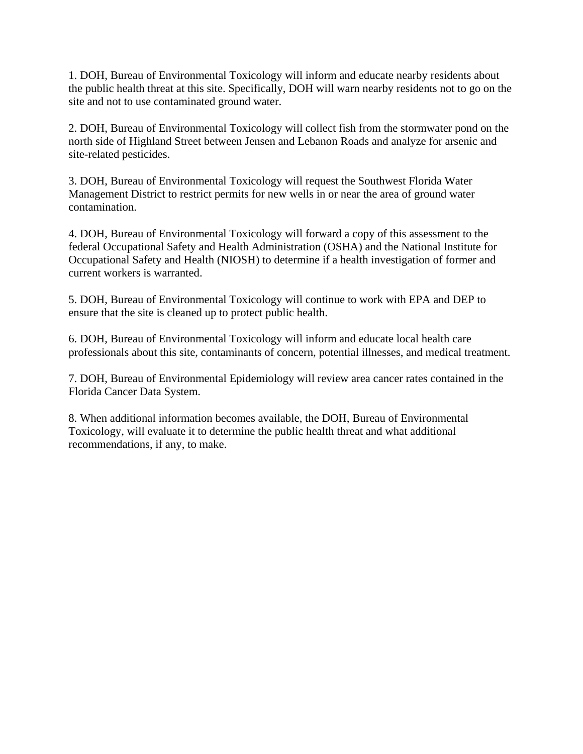1. DOH, Bureau of Environmental Toxicology will inform and educate nearby residents about the public health threat at this site. Specifically, DOH will warn nearby residents not to go on the site and not to use contaminated ground water.

2. DOH, Bureau of Environmental Toxicology will collect fish from the stormwater pond on the north side of Highland Street between Jensen and Lebanon Roads and analyze for arsenic and site-related pesticides.

3. DOH, Bureau of Environmental Toxicology will request the Southwest Florida Water Management District to restrict permits for new wells in or near the area of ground water contamination.

4. DOH, Bureau of Environmental Toxicology will forward a copy of this assessment to the federal Occupational Safety and Health Administration (OSHA) and the National Institute for Occupational Safety and Health (NIOSH) to determine if a health investigation of former and current workers is warranted.

5. DOH, Bureau of Environmental Toxicology will continue to work with EPA and DEP to ensure that the site is cleaned up to protect public health.

6. DOH, Bureau of Environmental Toxicology will inform and educate local health care professionals about this site, contaminants of concern, potential illnesses, and medical treatment.

7. DOH, Bureau of Environmental Epidemiology will review area cancer rates contained in the Florida Cancer Data System.

8. When additional information becomes available, the DOH, Bureau of Environmental Toxicology, will evaluate it to determine the public health threat and what additional recommendations, if any, to make.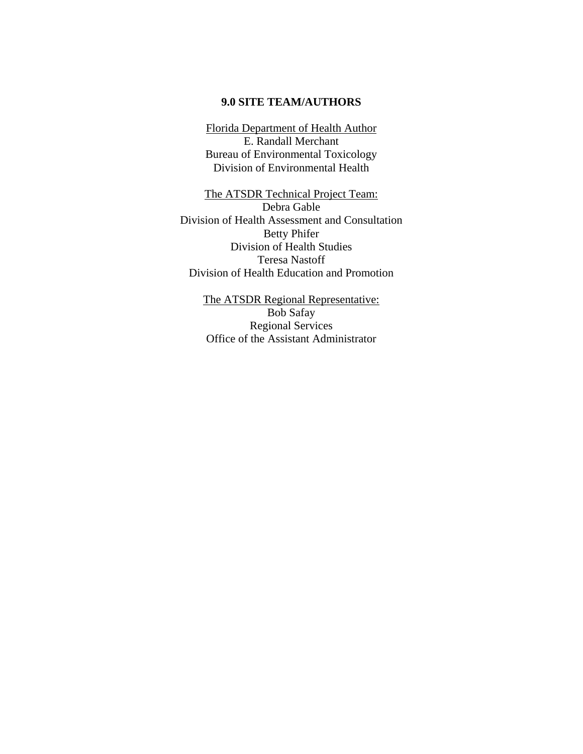#### **9.0 SITE TEAM/AUTHORS**

Florida Department of Health Author E. Randall Merchant Bureau of Environmental Toxicology Division of Environmental Health

The ATSDR Technical Project Team: Debra Gable Division of Health Assessment and Consultation Betty Phifer Division of Health Studies Teresa Nastoff Division of Health Education and Promotion

> The ATSDR Regional Representative: Bob Safay Regional Services Office of the Assistant Administrator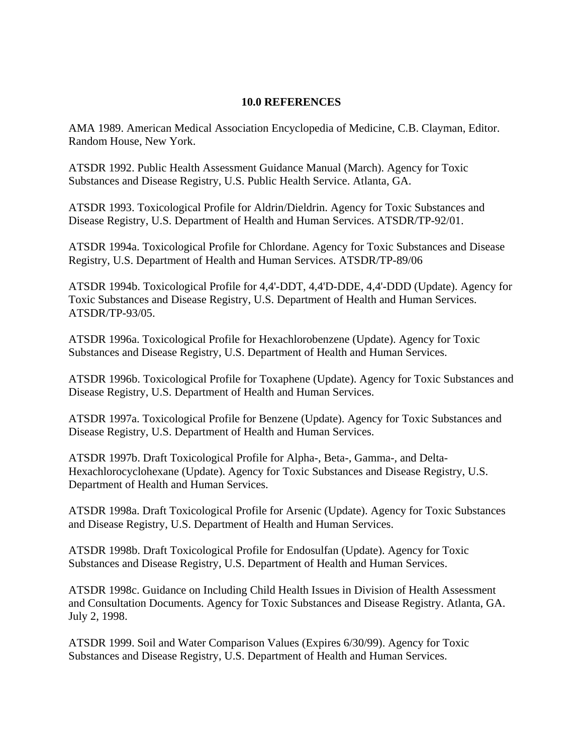#### **10.0 REFERENCES**

AMA 1989. American Medical Association Encyclopedia of Medicine, C.B. Clayman, Editor. Random House, New York.

ATSDR 1992. Public Health Assessment Guidance Manual (March). Agency for Toxic Substances and Disease Registry, U.S. Public Health Service. Atlanta, GA.

ATSDR 1993. Toxicological Profile for Aldrin/Dieldrin. Agency for Toxic Substances and Disease Registry, U.S. Department of Health and Human Services. ATSDR/TP-92/01.

ATSDR 1994a. Toxicological Profile for Chlordane. Agency for Toxic Substances and Disease Registry, U.S. Department of Health and Human Services. ATSDR/TP-89/06

ATSDR 1994b. Toxicological Profile for 4,4'-DDT, 4,4'D-DDE, 4,4'-DDD (Update). Agency for Toxic Substances and Disease Registry, U.S. Department of Health and Human Services. ATSDR/TP-93/05.

ATSDR 1996a. Toxicological Profile for Hexachlorobenzene (Update). Agency for Toxic Substances and Disease Registry, U.S. Department of Health and Human Services.

ATSDR 1996b. Toxicological Profile for Toxaphene (Update). Agency for Toxic Substances and Disease Registry, U.S. Department of Health and Human Services.

ATSDR 1997a. Toxicological Profile for Benzene (Update). Agency for Toxic Substances and Disease Registry, U.S. Department of Health and Human Services.

ATSDR 1997b. Draft Toxicological Profile for Alpha-, Beta-, Gamma-, and Delta-Hexachlorocyclohexane (Update). Agency for Toxic Substances and Disease Registry, U.S. Department of Health and Human Services.

ATSDR 1998a. Draft Toxicological Profile for Arsenic (Update). Agency for Toxic Substances and Disease Registry, U.S. Department of Health and Human Services.

ATSDR 1998b. Draft Toxicological Profile for Endosulfan (Update). Agency for Toxic Substances and Disease Registry, U.S. Department of Health and Human Services.

ATSDR 1998c. Guidance on Including Child Health Issues in Division of Health Assessment and Consultation Documents. Agency for Toxic Substances and Disease Registry. Atlanta, GA. July 2, 1998.

ATSDR 1999. Soil and Water Comparison Values (Expires 6/30/99). Agency for Toxic Substances and Disease Registry, U.S. Department of Health and Human Services.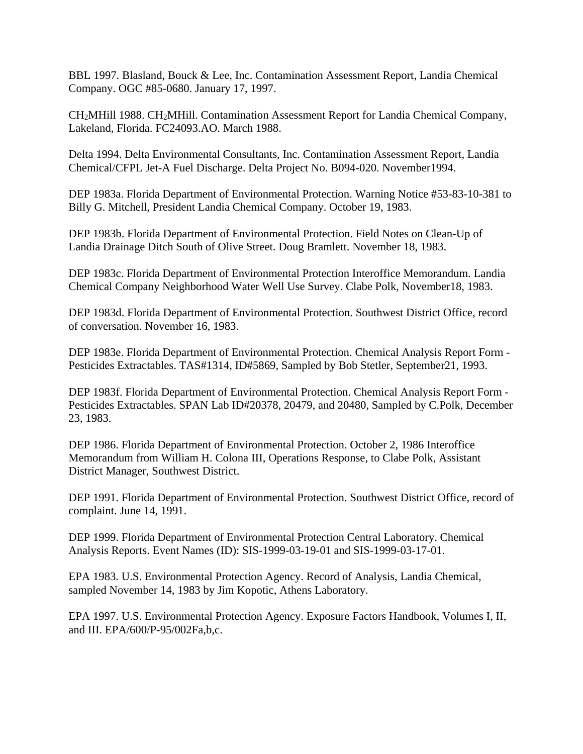BBL 1997. Blasland, Bouck & Lee, Inc. Contamination Assessment Report, Landia Chemical Company. OGC #85-0680. January 17, 1997.

CH2MHill 1988. CH2MHill. Contamination Assessment Report for Landia Chemical Company, Lakeland, Florida. FC24093.AO. March 1988.

Delta 1994. Delta Environmental Consultants, Inc. Contamination Assessment Report, Landia Chemical/CFPL Jet-A Fuel Discharge. Delta Project No. B094-020. November1994.

DEP 1983a. Florida Department of Environmental Protection. Warning Notice #53-83-10-381 to Billy G. Mitchell, President Landia Chemical Company. October 19, 1983.

DEP 1983b. Florida Department of Environmental Protection. Field Notes on Clean-Up of Landia Drainage Ditch South of Olive Street. Doug Bramlett. November 18, 1983.

DEP 1983c. Florida Department of Environmental Protection Interoffice Memorandum. Landia Chemical Company Neighborhood Water Well Use Survey. Clabe Polk, November18, 1983.

DEP 1983d. Florida Department of Environmental Protection. Southwest District Office, record of conversation. November 16, 1983.

DEP 1983e. Florida Department of Environmental Protection. Chemical Analysis Report Form - Pesticides Extractables. TAS#1314, ID#5869, Sampled by Bob Stetler, September21, 1993.

DEP 1983f. Florida Department of Environmental Protection. Chemical Analysis Report Form - Pesticides Extractables. SPAN Lab ID#20378, 20479, and 20480, Sampled by C.Polk, December 23, 1983.

DEP 1986. Florida Department of Environmental Protection. October 2, 1986 Interoffice Memorandum from William H. Colona III, Operations Response, to Clabe Polk, Assistant District Manager, Southwest District.

DEP 1991. Florida Department of Environmental Protection. Southwest District Office, record of complaint. June 14, 1991.

DEP 1999. Florida Department of Environmental Protection Central Laboratory. Chemical Analysis Reports. Event Names (ID): SIS-1999-03-19-01 and SIS-1999-03-17-01.

EPA 1983. U.S. Environmental Protection Agency. Record of Analysis, Landia Chemical, sampled November 14, 1983 by Jim Kopotic, Athens Laboratory.

EPA 1997. U.S. Environmental Protection Agency. Exposure Factors Handbook, Volumes I, II, and III. EPA/600/P-95/002Fa,b,c.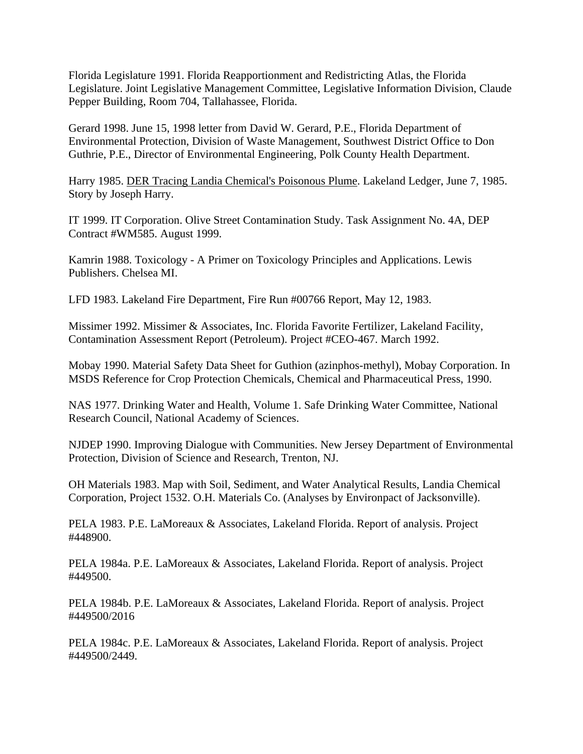Florida Legislature 1991. Florida Reapportionment and Redistricting Atlas, the Florida Legislature. Joint Legislative Management Committee, Legislative Information Division, Claude Pepper Building, Room 704, Tallahassee, Florida.

Gerard 1998. June 15, 1998 letter from David W. Gerard, P.E., Florida Department of Environmental Protection, Division of Waste Management, Southwest District Office to Don Guthrie, P.E., Director of Environmental Engineering, Polk County Health Department.

Harry 1985. DER Tracing Landia Chemical's Poisonous Plume. Lakeland Ledger, June 7, 1985. Story by Joseph Harry.

IT 1999. IT Corporation. Olive Street Contamination Study. Task Assignment No. 4A, DEP Contract #WM585. August 1999.

Kamrin 1988. Toxicology - A Primer on Toxicology Principles and Applications. Lewis Publishers. Chelsea MI.

LFD 1983. Lakeland Fire Department, Fire Run #00766 Report, May 12, 1983.

Missimer 1992. Missimer & Associates, Inc. Florida Favorite Fertilizer, Lakeland Facility, Contamination Assessment Report (Petroleum). Project #CEO-467. March 1992.

Mobay 1990. Material Safety Data Sheet for Guthion (azinphos-methyl), Mobay Corporation. In MSDS Reference for Crop Protection Chemicals, Chemical and Pharmaceutical Press, 1990.

NAS 1977. Drinking Water and Health, Volume 1. Safe Drinking Water Committee, National Research Council, National Academy of Sciences.

NJDEP 1990. Improving Dialogue with Communities. New Jersey Department of Environmental Protection, Division of Science and Research, Trenton, NJ.

OH Materials 1983. Map with Soil, Sediment, and Water Analytical Results, Landia Chemical Corporation, Project 1532. O.H. Materials Co. (Analyses by Environpact of Jacksonville).

PELA 1983. P.E. LaMoreaux & Associates, Lakeland Florida. Report of analysis. Project #448900.

PELA 1984a. P.E. LaMoreaux & Associates, Lakeland Florida. Report of analysis. Project #449500.

PELA 1984b. P.E. LaMoreaux & Associates, Lakeland Florida. Report of analysis. Project #449500/2016

PELA 1984c. P.E. LaMoreaux & Associates, Lakeland Florida. Report of analysis. Project #449500/2449.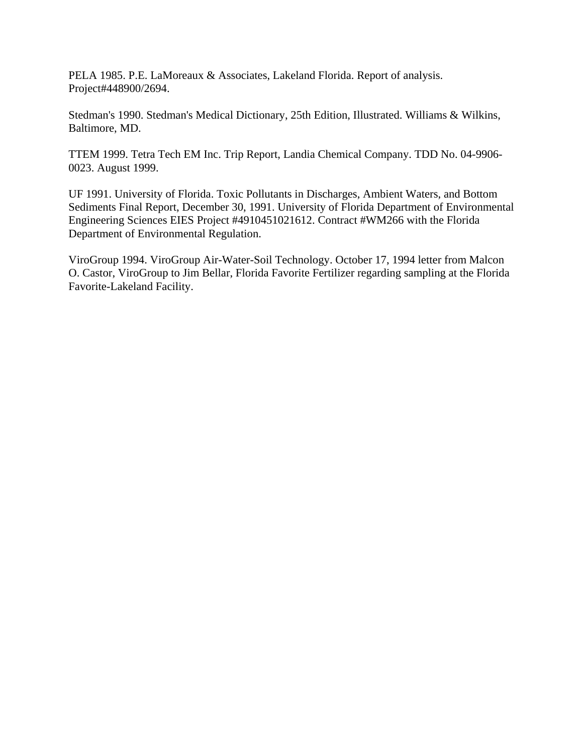PELA 1985. P.E. LaMoreaux & Associates, Lakeland Florida. Report of analysis. Project#448900/2694.

Stedman's 1990. Stedman's Medical Dictionary, 25th Edition, Illustrated. Williams & Wilkins, Baltimore, MD.

TTEM 1999. Tetra Tech EM Inc. Trip Report, Landia Chemical Company. TDD No. 04-9906- 0023. August 1999.

UF 1991. University of Florida. Toxic Pollutants in Discharges, Ambient Waters, and Bottom Sediments Final Report, December 30, 1991. University of Florida Department of Environmental Engineering Sciences EIES Project #4910451021612. Contract #WM266 with the Florida Department of Environmental Regulation.

ViroGroup 1994. ViroGroup Air-Water-Soil Technology. October 17, 1994 letter from Malcon O. Castor, ViroGroup to Jim Bellar, Florida Favorite Fertilizer regarding sampling at the Florida Favorite-Lakeland Facility.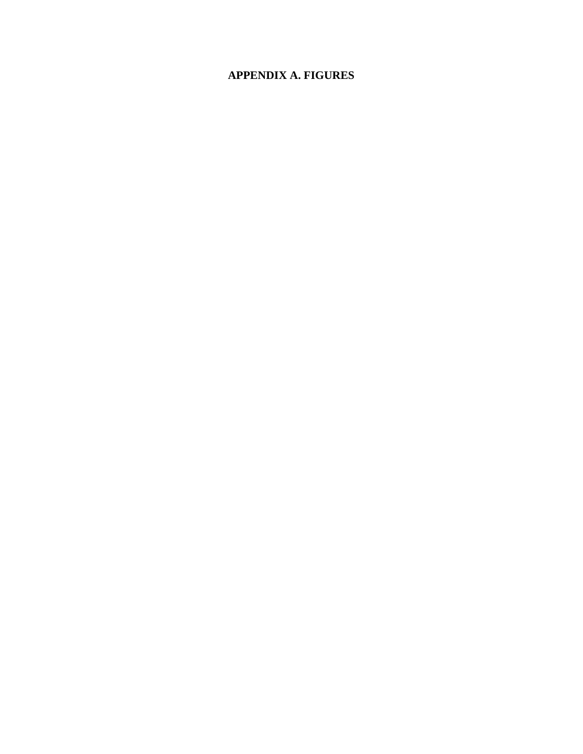# **APPENDIX A. FIGURES**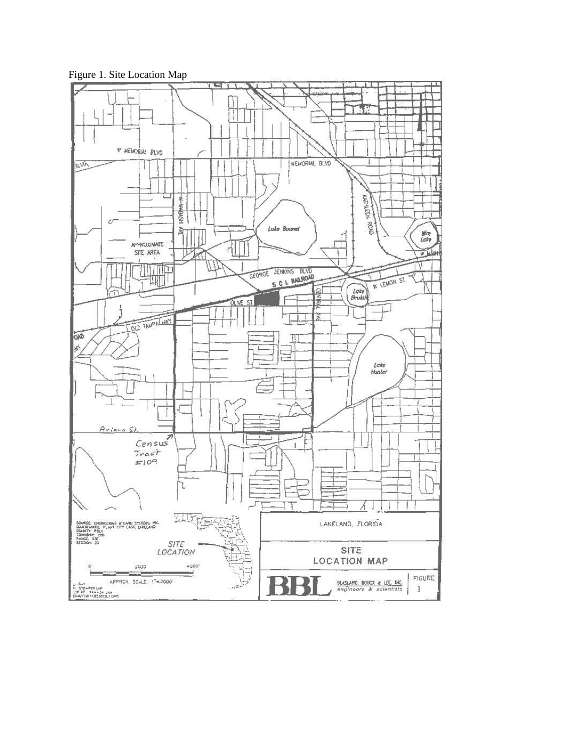

Figure 1. Site Location Map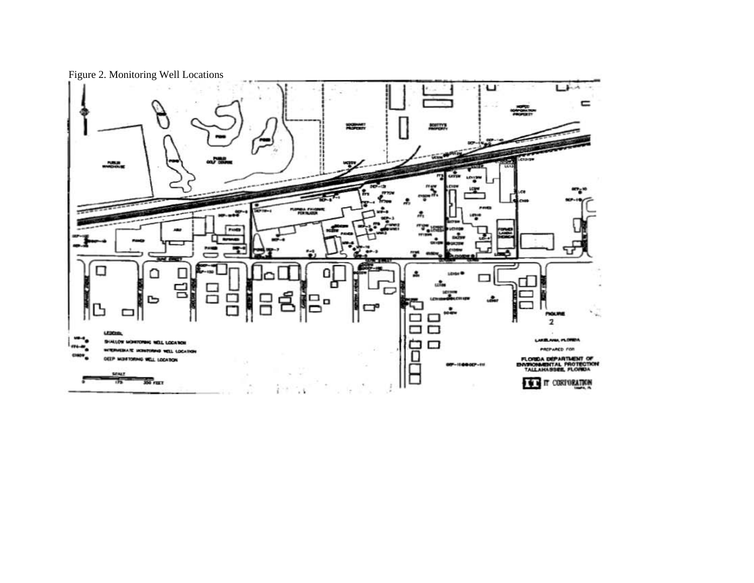Figure 2. Monitoring Well Locations

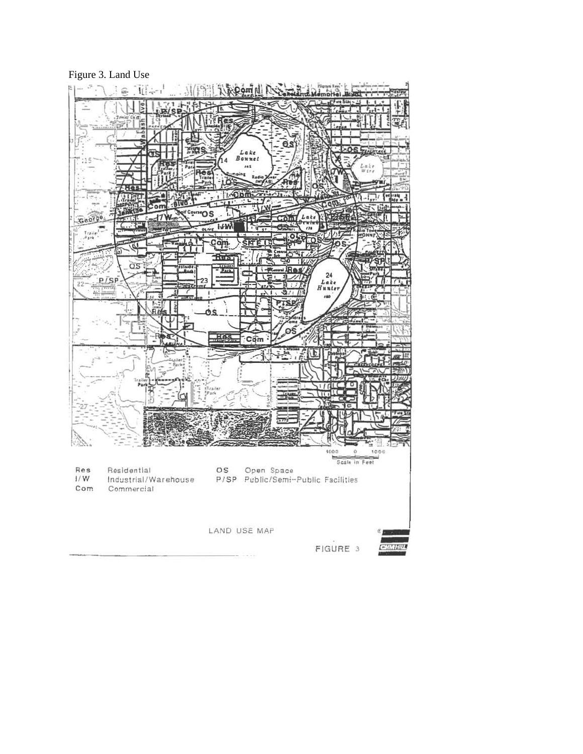#### Figure 3. Land Use

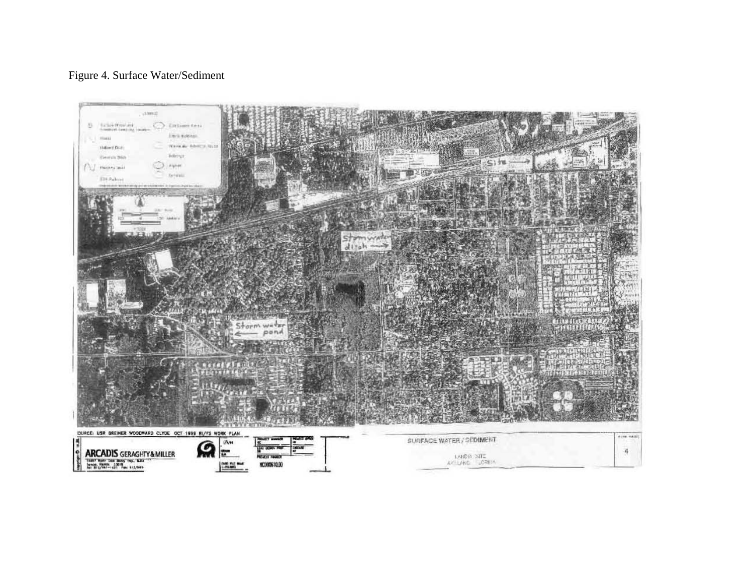# Figure 4. Surface Water/Sediment

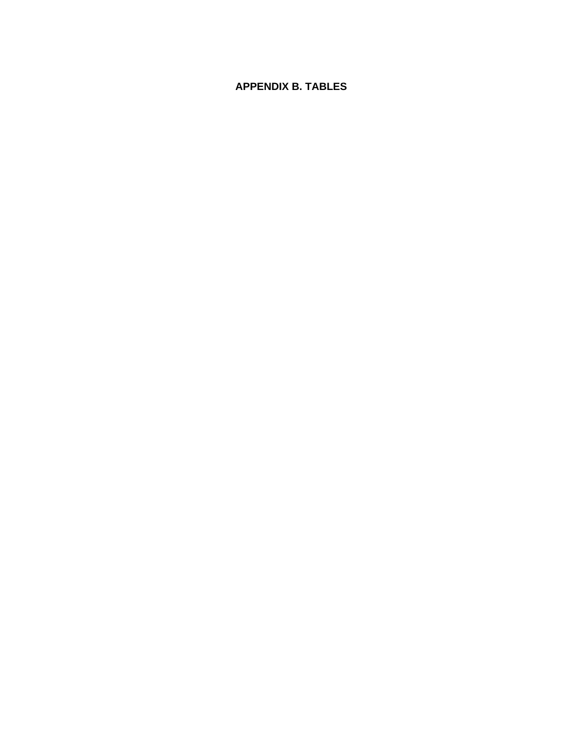# **APPENDIX B. TABLES**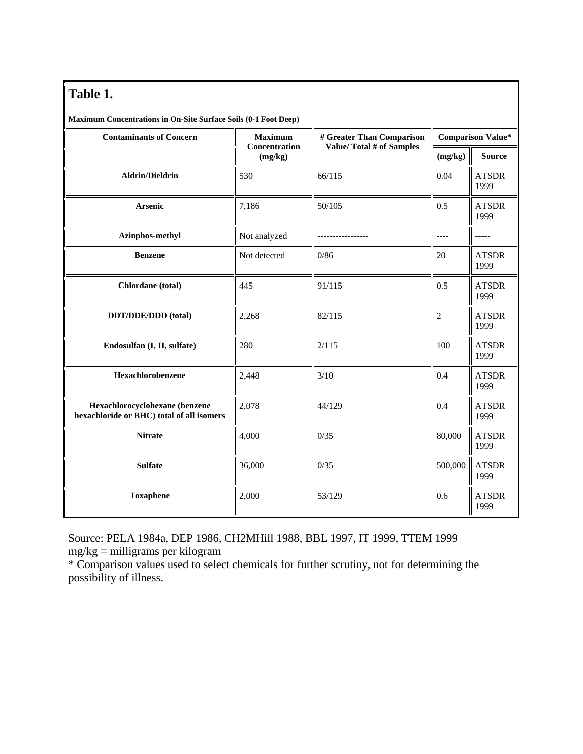# **Table 1.**

| Maximum Concentrations in On-Site Surface Soils (0-1 Foot Deep)             |                                 |                                                              |                          |                      |  |  |
|-----------------------------------------------------------------------------|---------------------------------|--------------------------------------------------------------|--------------------------|----------------------|--|--|
| <b>Contaminants of Concern</b>                                              | <b>Maximum</b><br>Concentration | # Greater Than Comparison<br><b>Value/Total # of Samples</b> | <b>Comparison Value*</b> |                      |  |  |
|                                                                             | (mg/kg)                         |                                                              | (mg/kg)                  | <b>Source</b>        |  |  |
| <b>Aldrin/Dieldrin</b>                                                      | 530                             | 66/115                                                       | 0.04                     | <b>ATSDR</b><br>1999 |  |  |
| Arsenic                                                                     | 7,186                           | 50/105                                                       | 0.5                      | <b>ATSDR</b><br>1999 |  |  |
| Azinphos-methyl                                                             | Not analyzed                    |                                                              | ----                     | -----                |  |  |
| <b>Benzene</b>                                                              | Not detected                    | 0/86                                                         | 20                       | <b>ATSDR</b><br>1999 |  |  |
| Chlordane (total)                                                           | 445                             | 91/115                                                       | 0.5                      | <b>ATSDR</b><br>1999 |  |  |
| DDT/DDE/DDD (total)                                                         | 2,268                           | 82/115                                                       | $\overline{2}$           | <b>ATSDR</b><br>1999 |  |  |
| Endosulfan (I, II, sulfate)                                                 | 280                             | 2/115                                                        | 100                      | <b>ATSDR</b><br>1999 |  |  |
| Hexachlorobenzene                                                           | 2,448                           | 3/10                                                         | 0.4                      | <b>ATSDR</b><br>1999 |  |  |
| Hexachlorocyclohexane (benzene<br>hexachloride or BHC) total of all isomers | 2,078                           | 44/129                                                       | 0.4                      | <b>ATSDR</b><br>1999 |  |  |
| <b>Nitrate</b>                                                              | 4,000                           | 0/35                                                         | 80,000                   | <b>ATSDR</b><br>1999 |  |  |
| <b>Sulfate</b>                                                              | 36,000                          | 0/35                                                         | 500,000                  | <b>ATSDR</b><br>1999 |  |  |
| <b>Toxaphene</b>                                                            | 2,000                           | 53/129                                                       | 0.6                      | <b>ATSDR</b><br>1999 |  |  |

Source: PELA 1984a, DEP 1986, CH2MHill 1988, BBL 1997, IT 1999, TTEM 1999 mg/kg = milligrams per kilogram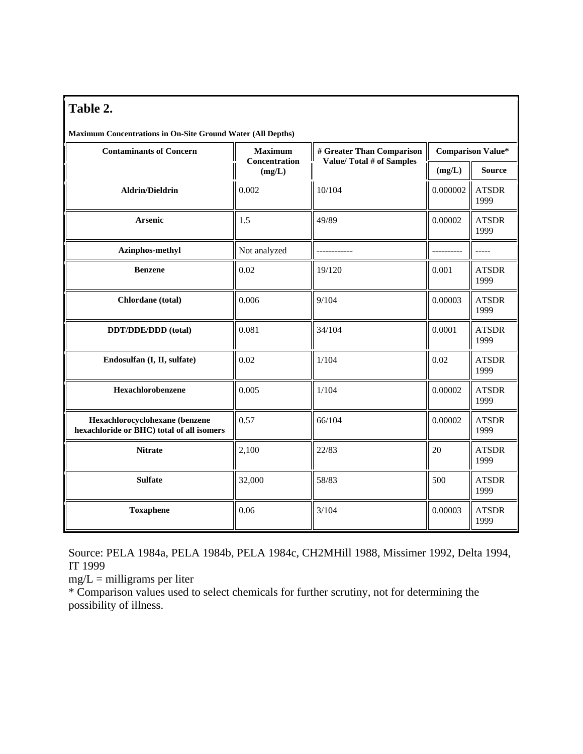# **Table 2.**

**Maximum Concentrations in On-Site Ground Water (All Depths)** 

| <b>Contaminants of Concern</b>                                              | <b>Maximum</b>          | # Greater Than Comparison       | <b>Comparison Value*</b> |                      |  |
|-----------------------------------------------------------------------------|-------------------------|---------------------------------|--------------------------|----------------------|--|
|                                                                             | Concentration<br>(mg/L) | <b>Value/Total # of Samples</b> | (mg/L)                   | <b>Source</b>        |  |
| <b>Aldrin/Dieldrin</b>                                                      | 0.002                   | 10/104                          | 0.000002                 | <b>ATSDR</b><br>1999 |  |
| <b>Arsenic</b>                                                              | 1.5                     | 49/89                           | 0.00002                  | <b>ATSDR</b><br>1999 |  |
| Azinphos-methyl                                                             | Not analyzed            | ------------                    |                          | -----                |  |
| <b>Benzene</b>                                                              | 0.02                    | 19/120                          | 0.001                    | <b>ATSDR</b><br>1999 |  |
| Chlordane (total)                                                           | 0.006                   | 9/104                           | 0.00003                  | <b>ATSDR</b><br>1999 |  |
| DDT/DDE/DDD (total)                                                         | 0.081                   | 34/104                          | 0.0001                   | <b>ATSDR</b><br>1999 |  |
| Endosulfan (I, II, sulfate)                                                 | 0.02                    | 1/104                           | 0.02                     | <b>ATSDR</b><br>1999 |  |
| Hexachlorobenzene                                                           | 0.005                   | 1/104                           | 0.00002                  | <b>ATSDR</b><br>1999 |  |
| Hexachlorocyclohexane (benzene<br>hexachloride or BHC) total of all isomers | 0.57                    | 66/104                          | 0.00002                  | <b>ATSDR</b><br>1999 |  |
| <b>Nitrate</b>                                                              | 2,100                   | 22/83                           | 20                       | <b>ATSDR</b><br>1999 |  |
| <b>Sulfate</b>                                                              | 32,000                  | 58/83                           | 500                      | <b>ATSDR</b><br>1999 |  |
| <b>Toxaphene</b>                                                            | 0.06<br>3/104           |                                 | 0.00003                  | <b>ATSDR</b><br>1999 |  |

Source: PELA 1984a, PELA 1984b, PELA 1984c, CH2MHill 1988, Missimer 1992, Delta 1994, IT 1999

 $mg/L =$  milligrams per liter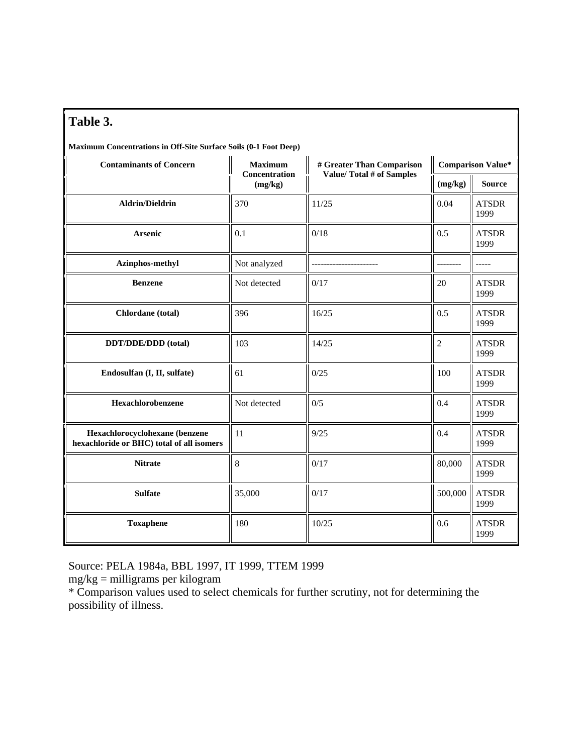| Table 3.<br>Maximum Concentrations in Off-Site Surface Soils (0-1 Foot Deep) |                          |                           |                          |                      |  |  |  |
|------------------------------------------------------------------------------|--------------------------|---------------------------|--------------------------|----------------------|--|--|--|
| <b>Contaminants of Concern</b>                                               | <b>Maximum</b>           | # Greater Than Comparison | <b>Comparison Value*</b> |                      |  |  |  |
|                                                                              | Concentration<br>(mg/kg) | Value/Total # of Samples  | (mg/kg)                  | <b>Source</b>        |  |  |  |
| <b>Aldrin/Dieldrin</b>                                                       | 370                      | 11/25                     | 0.04                     | <b>ATSDR</b><br>1999 |  |  |  |
| <b>Arsenic</b>                                                               | 0.1                      | 0/18                      | 0.5                      | <b>ATSDR</b><br>1999 |  |  |  |
| Azinphos-methyl                                                              | Not analyzed             |                           |                          | $- - - - -$          |  |  |  |
| <b>Benzene</b>                                                               | Not detected             | 0/17                      | 20                       | <b>ATSDR</b><br>1999 |  |  |  |
| Chlordane (total)                                                            | 396                      | 16/25                     | 0.5                      | <b>ATSDR</b><br>1999 |  |  |  |
| DDT/DDE/DDD (total)                                                          | 103                      | 14/25                     | $\overline{c}$           | <b>ATSDR</b><br>1999 |  |  |  |
| Endosulfan (I, II, sulfate)                                                  | 61<br>0/25               |                           | 100                      | <b>ATSDR</b><br>1999 |  |  |  |
| Hexachlorobenzene                                                            | Not detected             | 0/5                       | 0.4                      | <b>ATSDR</b><br>1999 |  |  |  |
| Hexachlorocyclohexane (benzene<br>hexachloride or BHC) total of all isomers  | 11                       | 9/25                      | 0.4                      | <b>ATSDR</b><br>1999 |  |  |  |
| <b>Nitrate</b>                                                               | 8                        | 0/17                      | 80,000                   | <b>ATSDR</b><br>1999 |  |  |  |
| <b>Sulfate</b>                                                               | 35,000                   | 0/17                      | 500,000                  | <b>ATSDR</b><br>1999 |  |  |  |
| <b>Toxaphene</b>                                                             | 180                      | 10/25                     | 0.6                      | <b>ATSDR</b><br>1999 |  |  |  |

Source: PELA 1984a, BBL 1997, IT 1999, TTEM 1999

mg/kg = milligrams per kilogram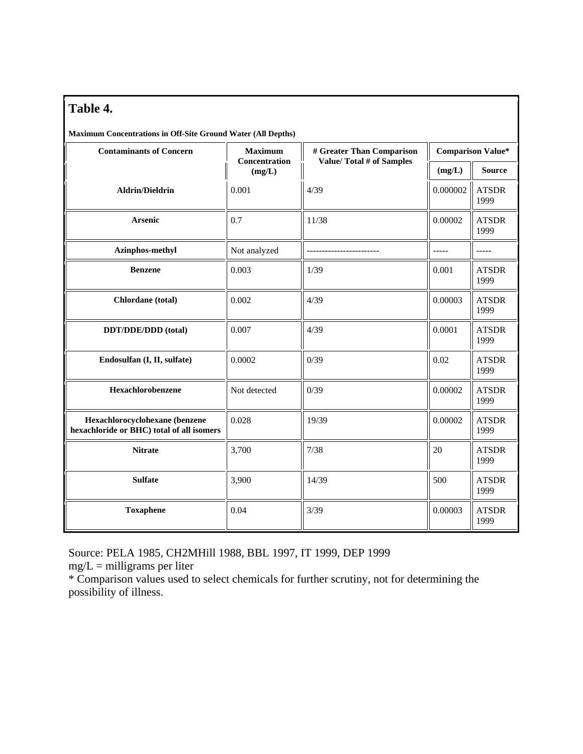# **Table 4.**

**Maximum Concentrations in Off-Site Ground Water (All Depths)** 

| <b>Contaminants of Concern</b>                                              | <b>Maximum</b>          | # Greater Than Comparison | <b>Comparison Value*</b> |                                                                      |  |
|-----------------------------------------------------------------------------|-------------------------|---------------------------|--------------------------|----------------------------------------------------------------------|--|
|                                                                             | Concentration<br>(mg/L) | Value/Total # of Samples  | (mg/L)                   | <b>Source</b>                                                        |  |
| <b>Aldrin/Dieldrin</b>                                                      | 0.001                   | 4/39                      | 0.000002                 | <b>ATSDR</b><br>1999                                                 |  |
| <b>Arsenic</b>                                                              | 0.7                     | 11/38                     | 0.00002                  | <b>ATSDR</b><br>1999                                                 |  |
| Azinphos-methyl                                                             | Not analyzed            |                           | -----                    | -----                                                                |  |
| <b>Benzene</b>                                                              | 0.003                   | 1/39                      | 0.001                    | <b>ATSDR</b><br>1999                                                 |  |
| Chlordane (total)                                                           | 0.002                   | 4/39                      | 0.00003<br>0.0001        | <b>ATSDR</b><br>1999<br><b>ATSDR</b><br>1999<br><b>ATSDR</b><br>1999 |  |
| DDT/DDE/DDD (total)                                                         | 0.007                   | 4/39                      |                          |                                                                      |  |
| Endosulfan (I, II, sulfate)                                                 | 0.0002                  | 0/39                      | 0.02                     |                                                                      |  |
| Hexachlorobenzene                                                           | Not detected            | 0/39                      | 0.00002                  | <b>ATSDR</b><br>1999                                                 |  |
| Hexachlorocyclohexane (benzene<br>hexachloride or BHC) total of all isomers | 0.028                   | 19/39                     | 0.00002                  | <b>ATSDR</b><br>1999                                                 |  |
| <b>Nitrate</b>                                                              | 3,700                   | 7/38<br>20                |                          | <b>ATSDR</b><br>1999                                                 |  |
| <b>Sulfate</b>                                                              | 3,900                   | 14/39<br>500              |                          | <b>ATSDR</b><br>1999                                                 |  |
| <b>Toxaphene</b>                                                            | 0.04                    | 3/39                      | 0.00003                  | <b>ATSDR</b><br>1999                                                 |  |

Source: PELA 1985, CH2MHill 1988, BBL 1997, IT 1999, DEP 1999

 $mg/L =$  milligrams per liter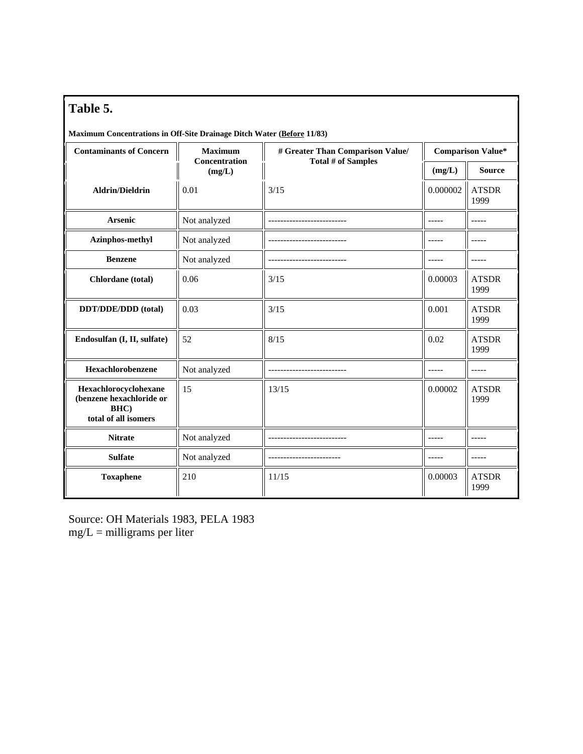| Table 5.                                                                          |                         |                                  |          |                          |  |  |  |  |
|-----------------------------------------------------------------------------------|-------------------------|----------------------------------|----------|--------------------------|--|--|--|--|
| Maximum Concentrations in Off-Site Drainage Ditch Water (Before 11/83)            |                         |                                  |          |                          |  |  |  |  |
| <b>Contaminants of Concern</b>                                                    | <b>Maximum</b>          | # Greater Than Comparison Value/ |          | <b>Comparison Value*</b> |  |  |  |  |
|                                                                                   | Concentration<br>(mg/L) | <b>Total # of Samples</b>        | (mg/L)   | <b>Source</b>            |  |  |  |  |
| <b>Aldrin/Dieldrin</b>                                                            | 0.01                    | 3/15                             | 0.000002 | <b>ATSDR</b><br>1999     |  |  |  |  |
| <b>Arsenic</b>                                                                    | Not analyzed            |                                  |          |                          |  |  |  |  |
| Azinphos-methyl                                                                   | Not analyzed            |                                  | -----    | $- - - - -$              |  |  |  |  |
| <b>Benzene</b>                                                                    | Not analyzed            |                                  |          |                          |  |  |  |  |
| Chlordane (total)                                                                 | 0.06                    | 3/15                             | 0.00003  | <b>ATSDR</b><br>1999     |  |  |  |  |
| DDT/DDE/DDD (total)                                                               | 0.03                    | 3/15                             | 0.001    | <b>ATSDR</b><br>1999     |  |  |  |  |
| Endosulfan (I, II, sulfate)                                                       | 52                      | 8/15                             | 0.02     | <b>ATSDR</b><br>1999     |  |  |  |  |
| Hexachlorobenzene                                                                 | Not analyzed            | ---------------                  | -----    | $- - - - -$              |  |  |  |  |
| Hexachlorocyclohexane<br>(benzene hexachloride or<br>BHC)<br>total of all isomers | 15                      | 13/15                            | 0.00002  | <b>ATSDR</b><br>1999     |  |  |  |  |
| <b>Nitrate</b>                                                                    | Not analyzed            |                                  |          | -----                    |  |  |  |  |
| <b>Sulfate</b>                                                                    | Not analyzed            |                                  |          |                          |  |  |  |  |
| <b>Toxaphene</b>                                                                  | 210                     | 11/15                            | 0.00003  | <b>ATSDR</b><br>1999     |  |  |  |  |

Source: OH Materials 1983, PELA 1983  $mg/L =$  milligrams per liter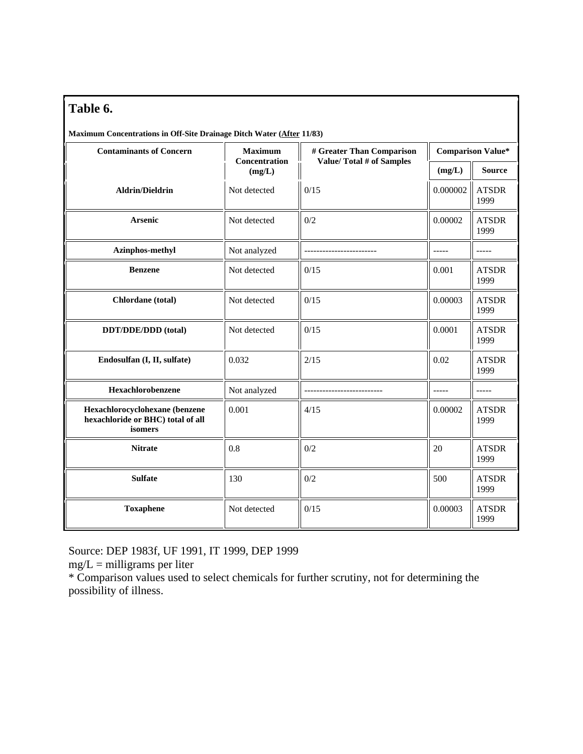| able | u |
|------|---|
|------|---|

| Table 6.                                                                       |                                |                                 |                          |                      |  |
|--------------------------------------------------------------------------------|--------------------------------|---------------------------------|--------------------------|----------------------|--|
| Maximum Concentrations in Off-Site Drainage Ditch Water (After 11/83)          |                                |                                 |                          |                      |  |
| <b>Contaminants of Concern</b>                                                 | <b>Maximum</b>                 | # Greater Than Comparison       | <b>Comparison Value*</b> |                      |  |
|                                                                                | <b>Concentration</b><br>(mg/L) | <b>Value/Total # of Samples</b> | (mg/L)                   | <b>Source</b>        |  |
| <b>Aldrin/Dieldrin</b>                                                         | Not detected                   | 0/15                            | 0.000002                 | <b>ATSDR</b><br>1999 |  |
| <b>Arsenic</b>                                                                 | Not detected                   | 0/2                             | 0.00002                  | <b>ATSDR</b><br>1999 |  |
| Azinphos-methyl                                                                | Not analyzed                   |                                 | -----                    | $--- - -$            |  |
| <b>Benzene</b>                                                                 | Not detected                   | 0/15                            | 0.001                    | <b>ATSDR</b><br>1999 |  |
| Chlordane (total)                                                              | Not detected                   | 0/15                            | 0.00003                  | <b>ATSDR</b><br>1999 |  |
| DDT/DDE/DDD (total)                                                            | Not detected                   | 0/15                            | 0.0001                   | <b>ATSDR</b><br>1999 |  |
| Endosulfan (I, II, sulfate)                                                    | 0.032                          | 2/15                            | 0.02                     | <b>ATSDR</b><br>1999 |  |
| Hexachlorobenzene                                                              | Not analyzed                   |                                 | $--- -$                  | $- - - - -$          |  |
| Hexachlorocyclohexane (benzene<br>hexachloride or BHC) total of all<br>isomers | 0.001                          | 4/15                            | 0.00002                  | <b>ATSDR</b><br>1999 |  |
| <b>Nitrate</b>                                                                 | 0.8                            | 0/2                             | 20                       | <b>ATSDR</b><br>1999 |  |
| <b>Sulfate</b>                                                                 | 130                            | 0/2                             | 500                      | <b>ATSDR</b><br>1999 |  |
| <b>Toxaphene</b>                                                               | Not detected                   | 0/15                            | 0.00003                  | <b>ATSDR</b><br>1999 |  |

Source: DEP 1983f, UF 1991, IT 1999, DEP 1999

 $mg/L =$  milligrams per liter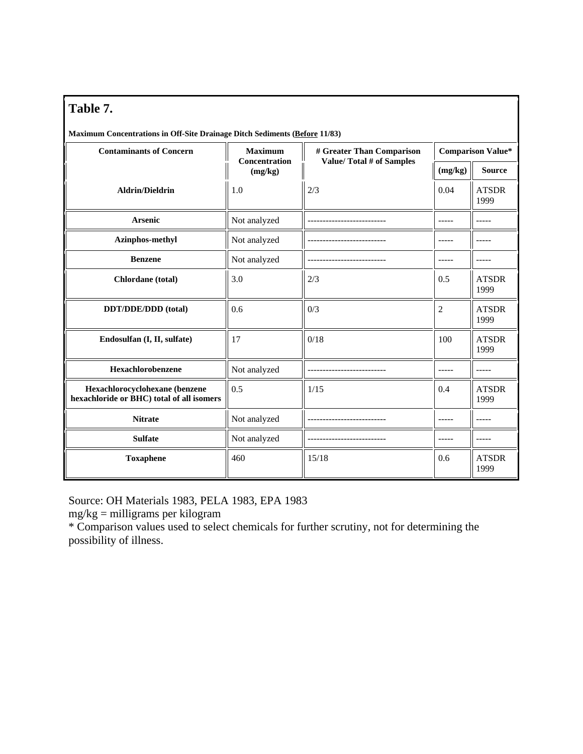| <b>Maximum Concentrations in Off-Site Drainage Ditch Sediments (Before 11/83)</b> |  |  |
|-----------------------------------------------------------------------------------|--|--|
|                                                                                   |  |  |

| <b>Contaminants of Concern</b>                                              | <b>Maximum</b>                  | # Greater Than Comparison | <b>Comparison Value*</b> |                      |  |
|-----------------------------------------------------------------------------|---------------------------------|---------------------------|--------------------------|----------------------|--|
|                                                                             | <b>Concentration</b><br>(mg/kg) | Value/Total # of Samples  | (mg/kg)                  | <b>Source</b>        |  |
| <b>Aldrin/Dieldrin</b>                                                      | 1.0                             | 2/3                       |                          | <b>ATSDR</b><br>1999 |  |
| <b>Arsenic</b>                                                              | Not analyzed                    |                           |                          |                      |  |
| Azinphos-methyl                                                             | Not analyzed                    |                           | -----                    |                      |  |
| <b>Benzene</b>                                                              | Not analyzed                    |                           | -----                    |                      |  |
| Chlordane (total)                                                           | 3.0                             | 2/3                       | 0.5                      | <b>ATSDR</b><br>1999 |  |
| DDT/DDE/DDD (total)                                                         | 0.6                             | 0/3                       | $\overline{2}$           | <b>ATSDR</b><br>1999 |  |
| Endosulfan (I, II, sulfate)                                                 | 17                              | 0/18                      | 100                      | <b>ATSDR</b><br>1999 |  |
| Hexachlorobenzene                                                           | Not analyzed                    |                           |                          |                      |  |
| Hexachlorocyclohexane (benzene<br>hexachloride or BHC) total of all isomers | 0.5                             | 1/15                      | 0.4                      | <b>ATSDR</b><br>1999 |  |
| <b>Nitrate</b>                                                              | Not analyzed                    |                           |                          |                      |  |
| <b>Sulfate</b>                                                              | Not analyzed                    |                           | -----                    |                      |  |
| <b>Toxaphene</b>                                                            | 460                             | 15/18                     | 0.6                      | <b>ATSDR</b><br>1999 |  |

Source: OH Materials 1983, PELA 1983, EPA 1983

mg/kg = milligrams per kilogram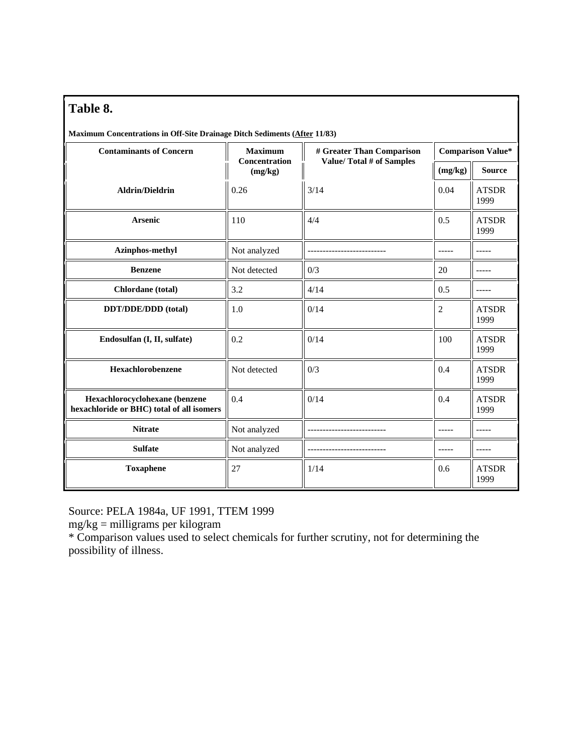| <b>Maximum Concentrations in Off-Site Drainage Ditch Sediments (After 11/83)</b> |  |  |  |  |
|----------------------------------------------------------------------------------|--|--|--|--|

| <b>Contaminants of Concern</b>                                              | <b>Maximum</b><br><b>Concentration</b> | # Greater Than Comparison | <b>Comparison Value*</b> |                      |  |
|-----------------------------------------------------------------------------|----------------------------------------|---------------------------|--------------------------|----------------------|--|
|                                                                             | (mg/kg)                                | Value/Total # of Samples  | (mg/kg)                  | <b>Source</b>        |  |
| <b>Aldrin/Dieldrin</b>                                                      | 0.26                                   | 3/14                      | 0.04                     | <b>ATSDR</b><br>1999 |  |
| <b>Arsenic</b>                                                              | 110                                    | 4/4                       | 0.5                      | <b>ATSDR</b><br>1999 |  |
| Azinphos-methyl                                                             | Not analyzed                           |                           |                          |                      |  |
| <b>Benzene</b>                                                              | Not detected                           | 0/3                       | 20                       | -----                |  |
| Chlordane (total)                                                           | 3.2                                    | 4/14                      | 0.5                      | -----                |  |
| DDT/DDE/DDD (total)                                                         | 1.0                                    | 0/14                      | $\overline{c}$           | <b>ATSDR</b><br>1999 |  |
| Endosulfan (I, II, sulfate)                                                 | 0.2                                    | 0/14                      | 100                      | <b>ATSDR</b><br>1999 |  |
| Hexachlorobenzene                                                           | Not detected                           | 0/3                       | 0.4                      | <b>ATSDR</b><br>1999 |  |
| Hexachlorocyclohexane (benzene<br>hexachloride or BHC) total of all isomers | 0.4                                    | 0/14                      | 0.4                      | <b>ATSDR</b><br>1999 |  |
| <b>Nitrate</b>                                                              | Not analyzed                           |                           | -----                    | -----                |  |
| <b>Sulfate</b>                                                              | Not analyzed                           |                           | -----                    | -----                |  |
| <b>Toxaphene</b>                                                            | 27                                     | 1/14                      | 0.6                      | <b>ATSDR</b><br>1999 |  |

Source: PELA 1984a, UF 1991, TTEM 1999

mg/kg = milligrams per kilogram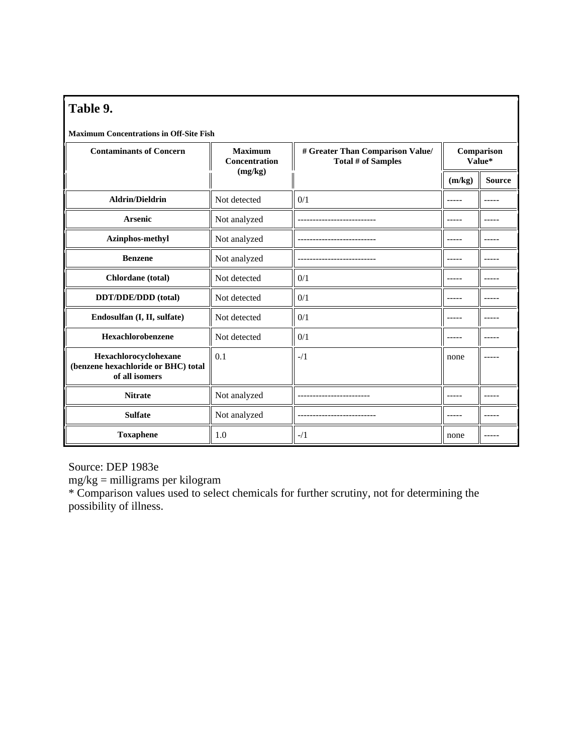| Table 9.                                                                       |                                 |                                                        |                      |               |  |  |  |  |  |
|--------------------------------------------------------------------------------|---------------------------------|--------------------------------------------------------|----------------------|---------------|--|--|--|--|--|
| <b>Maximum Concentrations in Off-Site Fish</b>                                 |                                 |                                                        |                      |               |  |  |  |  |  |
| <b>Contaminants of Concern</b>                                                 | <b>Maximum</b><br>Concentration | # Greater Than Comparison Value/<br>Total # of Samples | Comparison<br>Value* |               |  |  |  |  |  |
|                                                                                | (mg/kg)                         |                                                        | (m/kg)               | <b>Source</b> |  |  |  |  |  |
| <b>Aldrin/Dieldrin</b>                                                         | Not detected                    | 0/1                                                    | -----                | $- - - - -$   |  |  |  |  |  |
| <b>Arsenic</b>                                                                 | Not analyzed                    |                                                        |                      |               |  |  |  |  |  |
| Azinphos-methyl                                                                | Not analyzed                    |                                                        |                      |               |  |  |  |  |  |
| <b>Benzene</b>                                                                 | Not analyzed                    |                                                        | -----                | -----         |  |  |  |  |  |
| Chlordane (total)                                                              | Not detected                    | 0/1                                                    | -----                | -----         |  |  |  |  |  |
| DDT/DDE/DDD (total)                                                            | Not detected                    | 0/1                                                    |                      |               |  |  |  |  |  |
| Endosulfan (I, II, sulfate)                                                    | Not detected                    | 0/1                                                    | -----                |               |  |  |  |  |  |
| Hexachlorobenzene                                                              | Not detected                    | 0/1                                                    |                      |               |  |  |  |  |  |
| Hexachlorocyclohexane<br>(benzene hexachloride or BHC) total<br>of all isomers | 0.1                             | $-1/1$                                                 | none                 |               |  |  |  |  |  |
| <b>Nitrate</b>                                                                 | Not analyzed                    |                                                        |                      |               |  |  |  |  |  |
| <b>Sulfate</b>                                                                 | Not analyzed                    |                                                        | -----                |               |  |  |  |  |  |
| <b>Toxaphene</b>                                                               | 1.0                             | $-1/1$                                                 | none                 |               |  |  |  |  |  |

Source: DEP 1983e

mg/kg = milligrams per kilogram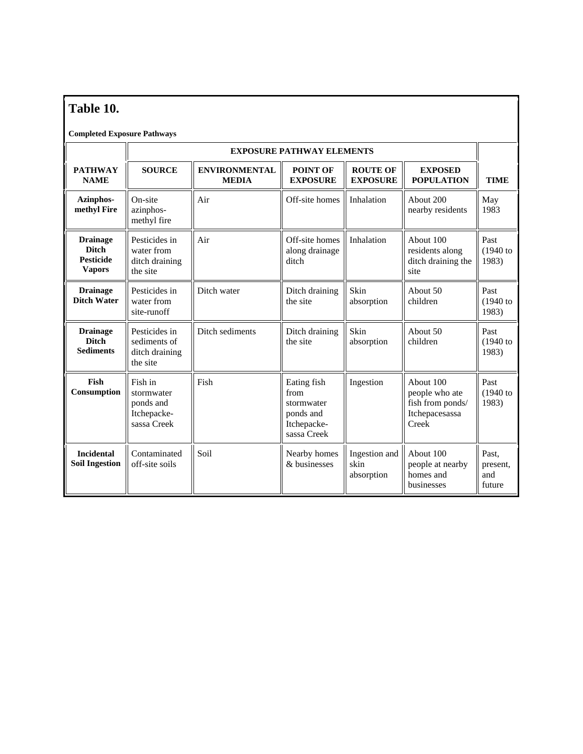# **Table 10.**

#### **Completed Exposure Pathways**

|                                                                      | <b>EXPOSURE PATHWAY ELEMENTS</b>                                 |                                           |                                                                              |                                            |                                                                            |                                    |  |
|----------------------------------------------------------------------|------------------------------------------------------------------|-------------------------------------------|------------------------------------------------------------------------------|--------------------------------------------|----------------------------------------------------------------------------|------------------------------------|--|
| <b>PATHWAY</b><br><b>NAME</b>                                        | <b>SOURCE</b>                                                    | <b>ENVIRONMENTAL</b><br><b>MEDIA</b>      | POINT OF<br><b>EXPOSURE</b>                                                  | <b>ROUTE OF</b><br><b>EXPOSURE</b>         | <b>EXPOSED</b><br><b>POPULATION</b>                                        | <b>TIME</b>                        |  |
| Azinphos-<br>methyl Fire                                             | On-site<br>azinphos-<br>methyl fire                              | Air                                       | Off-site homes                                                               | Inhalation                                 | About 200<br>nearby residents                                              | May<br>1983                        |  |
| <b>Drainage</b><br><b>Ditch</b><br><b>Pesticide</b><br><b>Vapors</b> | Pesticides in<br>water from<br>ditch draining<br>the site        | Air                                       | Off-site homes<br>along drainage<br>ditch                                    | Inhalation                                 | About 100<br>residents along<br>ditch draining the<br>site                 | Past<br>$(1940)$ to<br>1983)       |  |
| <b>Drainage</b><br><b>Ditch Water</b>                                | Pesticides in<br>water from<br>site-runoff                       | Ditch water<br>Ditch draining<br>the site |                                                                              | Skin<br>About 50<br>children<br>absorption |                                                                            | Past<br>$(1940)$ to<br>1983)       |  |
| <b>Drainage</b><br><b>Ditch</b><br><b>Sediments</b>                  | Pesticides in<br>sediments of<br>ditch draining<br>the site      | Ditch sediments                           | Ditch draining<br>the site                                                   | Skin<br>absorption                         | About 50<br>children                                                       | Past<br>$(1940)$ to<br>1983)       |  |
| Fish<br>Consumption                                                  | Fish in<br>stormwater<br>ponds and<br>Itchepacke-<br>sassa Creek | Fish                                      | Eating fish<br>from<br>stormwater<br>ponds and<br>Itchepacke-<br>sassa Creek | Ingestion                                  | About 100<br>people who ate<br>fish from ponds/<br>Itchepacesassa<br>Creek | Past<br>$(1940)$ to<br>1983)       |  |
| <b>Incidental</b><br><b>Soil Ingestion</b>                           | Contaminated<br>off-site soils                                   | Soil                                      | Nearby homes<br>& businesses                                                 | Ingestion and<br>skin<br>absorption        | About 100<br>people at nearby<br>homes and<br>businesses                   | Past.<br>present.<br>and<br>future |  |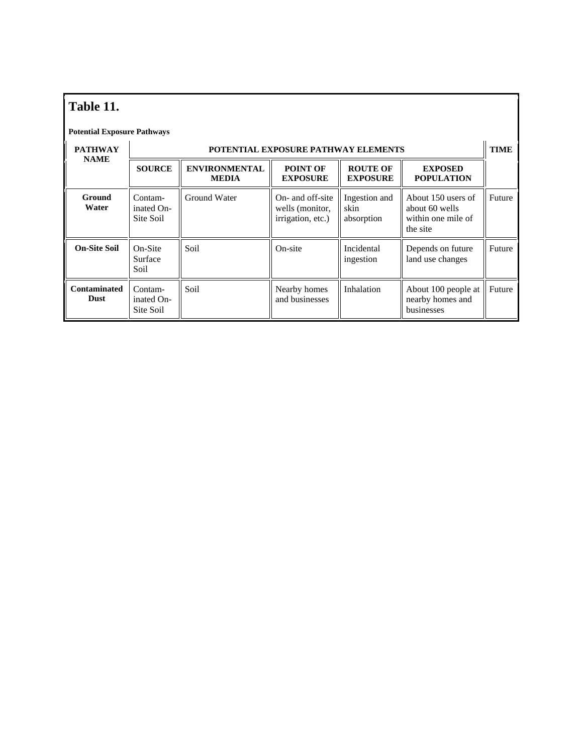| Table 11.                          |                                    |                                      |                                                          |                                     |                                                                        |             |  |  |
|------------------------------------|------------------------------------|--------------------------------------|----------------------------------------------------------|-------------------------------------|------------------------------------------------------------------------|-------------|--|--|
| <b>Potential Exposure Pathways</b> |                                    |                                      |                                                          |                                     |                                                                        |             |  |  |
| <b>PATHWAY</b>                     |                                    |                                      | <b>POTENTIAL EXPOSURE PATHWAY ELEMENTS</b>               |                                     |                                                                        | <b>TIME</b> |  |  |
| <b>NAME</b>                        | <b>SOURCE</b>                      | <b>ENVIRONMENTAL</b><br><b>MEDIA</b> | POINT OF<br><b>EXPOSURE</b>                              | <b>ROUTE OF</b><br><b>EXPOSURE</b>  | <b>EXPOSED</b><br><b>POPULATION</b>                                    |             |  |  |
| Ground<br>Water                    | Contam-<br>inated On-<br>Site Soil | Ground Water                         | On- and off-site<br>wells (monitor,<br>irrigation, etc.) | Ingestion and<br>skin<br>absorption | About 150 users of<br>about 60 wells<br>within one mile of<br>the site | Future      |  |  |
| <b>On-Site Soil</b>                | On-Site<br>Surface<br>Soil         | Soil                                 | On-site                                                  | Incidental<br>ingestion             | Depends on future<br>land use changes                                  | Future      |  |  |
| <b>Contaminated</b><br><b>Dust</b> | Contam-<br>inated On-<br>Site Soil | Soil                                 | Nearby homes<br>and businesses                           | Inhalation                          | About 100 people at<br>nearby homes and<br>businesses                  | Future      |  |  |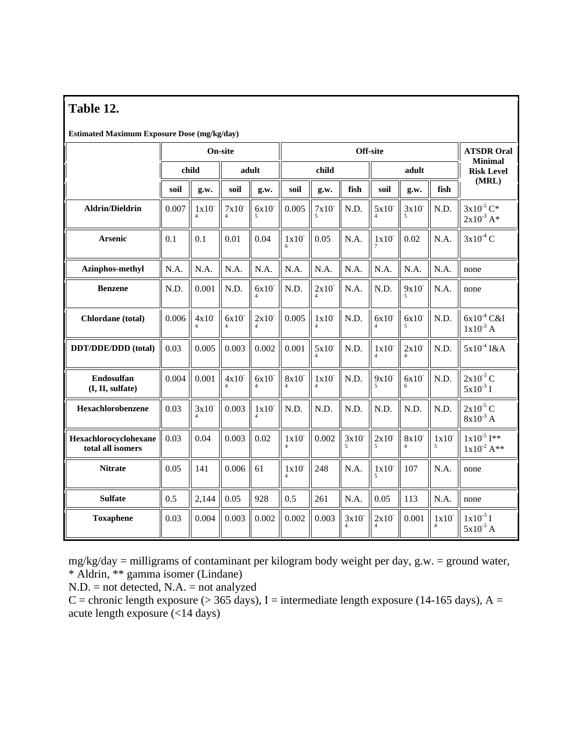| Table 12. |  |
|-----------|--|
|-----------|--|

**Estimated Maximum Exposure Dose (mg/kg/day)** 

|                                            | On-site        |       |       | Off-site |       |       |       |                                  | <b>ATSDR Oral</b> |                                     |                                    |
|--------------------------------------------|----------------|-------|-------|----------|-------|-------|-------|----------------------------------|-------------------|-------------------------------------|------------------------------------|
|                                            | child<br>adult |       |       | child    |       |       | adult |                                  |                   | <b>Minimal</b><br><b>Risk Level</b> |                                    |
|                                            | soil           | g.w.  | soil  | g.w.     | soil  | g.w.  | fish  | soil                             | g.w.              | fish                                | (MRL)                              |
| <b>Aldrin/Dieldrin</b>                     | 0.007          | 1x10  | 7x10  | 6x10     | 0.005 | 7x10  | N.D.  | 5x10                             | 3x10              | N.D.                                | $3x10^{-5}$ C*<br>$2x10^{-3}$ A*   |
| <b>Arsenic</b>                             | 0.1            | 0.1   | 0.01  | 0.04     | 1x10  | 0.05  | N.A.  | 1x10                             | 0.02              | N.A.                                | $3x10^4$ C                         |
| Azinphos-methyl                            | N.A.           | N.A.  | N.A.  | N.A.     | N.A.  | N.A.  | N.A.  | N.A.                             | N.A.              | N.A.                                | none                               |
| <b>Benzene</b>                             | N.D.           | 0.001 | N.D.  | 6x10     | N.D.  | 2x10  | N.A.  | N.D.                             | 9x10              | N.A.                                | none                               |
| <b>Chlordane</b> (total)                   | 0.006          | 4x10  | 6x10  | 2x10     | 0.005 | 1x10  | N.D.  | 6x10                             | 6x10              | N.D.                                | $6x10^{-4}$ C&I<br>$1x10^{-3}$ A   |
| DDT/DDE/DDD (total)                        | 0.03           | 0.005 | 0.003 | 0.002    | 0.001 | 5x10  | N.D.  | 1x10                             | 2x10              | N.D.                                | $5x10^{-4}$ I&A                    |
| Endosulfan<br>(I, II, sulfate)             | 0.004          | 0.001 | 4x10  | 6x10     | 8x10  | 1x10  | N.D.  | 9x10                             | 6x10<br>6         | N.D.                                | $2x10^{-3}$ C<br>$5x10^{-3}$ I     |
| Hexachlorobenzene                          | 0.03           | 3x10  | 0.003 | 1x10     | N.D.  | N.D.  | N.D.  | N.D.                             | N.D.              | N.D.                                | $2x10^{-5}$ C<br>$8x10^{-3}$ A     |
| Hexachlorocyclohexane<br>total all isomers | 0.03           | 0.04  | 0.003 | 0.02     | 1x10  | 0.002 | 3x10  | 2x10<br>$\overline{\phantom{0}}$ | 8x10              | 1x10<br>5                           | $1x10^{-5}$ I**<br>$1x10^{-2}$ A** |
| <b>Nitrate</b>                             | 0.05           | 141   | 0.006 | 61       | 1x10  | 248   | N.A.  | 1x10                             | 107               | N.A.                                | none                               |
| <b>Sulfate</b>                             | 0.5            | 2,144 | 0.05  | 928      | 0.5   | 261   | N.A.  | 0.05                             | 113               | N.A.                                | none                               |
| <b>Toxaphene</b>                           | 0.03           | 0.004 | 0.003 | 0.002    | 0.002 | 0.003 | 3x10  | 2x10                             | 0.001             | 1x10                                | $1x10^{-3}$ I<br>$5x10^{-3}$ A     |

mg/kg/day = milligrams of contaminant per kilogram body weight per day, g.w. = ground water, \* Aldrin, \*\* gamma isomer (Lindane)

N.D. = not detected, N.A. = not analyzed

C = chronic length exposure ( $>$  365 days), I = intermediate length exposure (14-165 days), A = acute length exposure (<14 days)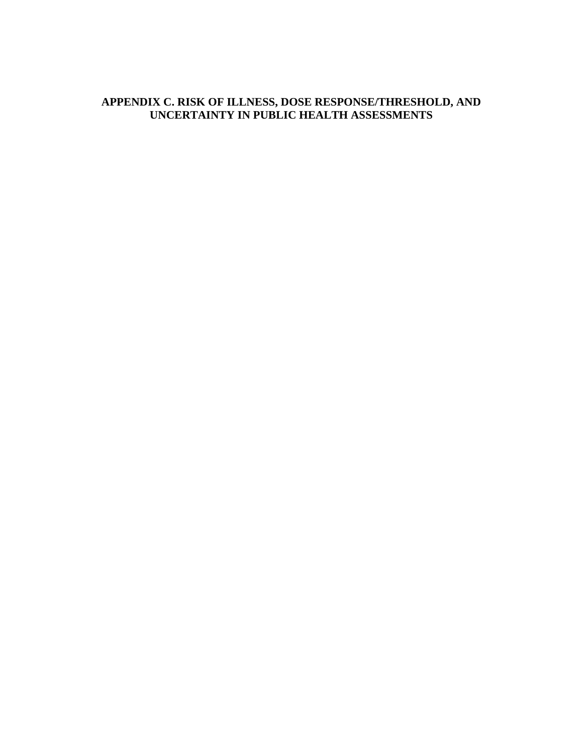#### **APPENDIX C. RISK OF ILLNESS, DOSE RESPONSE/THRESHOLD, AND UNCERTAINTY IN PUBLIC HEALTH ASSESSMENTS**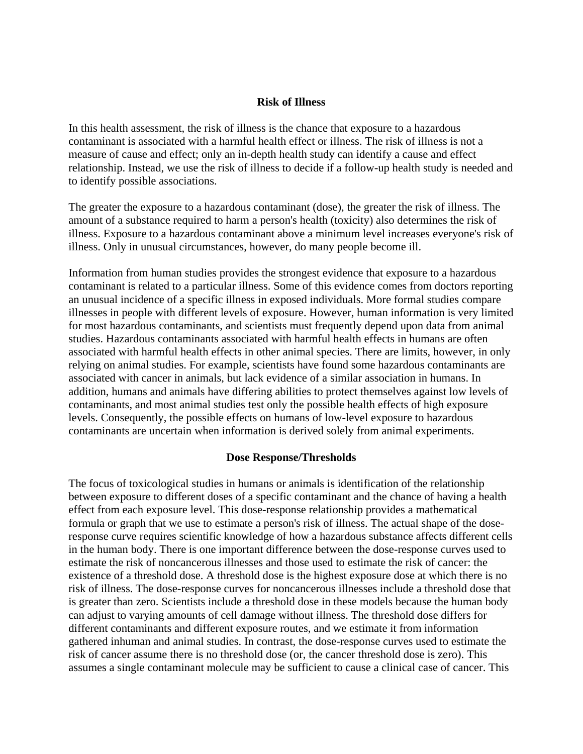#### **Risk of Illness**

In this health assessment, the risk of illness is the chance that exposure to a hazardous contaminant is associated with a harmful health effect or illness. The risk of illness is not a measure of cause and effect; only an in-depth health study can identify a cause and effect relationship. Instead, we use the risk of illness to decide if a follow-up health study is needed and to identify possible associations.

The greater the exposure to a hazardous contaminant (dose), the greater the risk of illness. The amount of a substance required to harm a person's health (toxicity) also determines the risk of illness. Exposure to a hazardous contaminant above a minimum level increases everyone's risk of illness. Only in unusual circumstances, however, do many people become ill.

Information from human studies provides the strongest evidence that exposure to a hazardous contaminant is related to a particular illness. Some of this evidence comes from doctors reporting an unusual incidence of a specific illness in exposed individuals. More formal studies compare illnesses in people with different levels of exposure. However, human information is very limited for most hazardous contaminants, and scientists must frequently depend upon data from animal studies. Hazardous contaminants associated with harmful health effects in humans are often associated with harmful health effects in other animal species. There are limits, however, in only relying on animal studies. For example, scientists have found some hazardous contaminants are associated with cancer in animals, but lack evidence of a similar association in humans. In addition, humans and animals have differing abilities to protect themselves against low levels of contaminants, and most animal studies test only the possible health effects of high exposure levels. Consequently, the possible effects on humans of low-level exposure to hazardous contaminants are uncertain when information is derived solely from animal experiments.

#### **Dose Response/Thresholds**

The focus of toxicological studies in humans or animals is identification of the relationship between exposure to different doses of a specific contaminant and the chance of having a health effect from each exposure level. This dose-response relationship provides a mathematical formula or graph that we use to estimate a person's risk of illness. The actual shape of the doseresponse curve requires scientific knowledge of how a hazardous substance affects different cells in the human body. There is one important difference between the dose-response curves used to estimate the risk of noncancerous illnesses and those used to estimate the risk of cancer: the existence of a threshold dose. A threshold dose is the highest exposure dose at which there is no risk of illness. The dose-response curves for noncancerous illnesses include a threshold dose that is greater than zero. Scientists include a threshold dose in these models because the human body can adjust to varying amounts of cell damage without illness. The threshold dose differs for different contaminants and different exposure routes, and we estimate it from information gathered inhuman and animal studies. In contrast, the dose-response curves used to estimate the risk of cancer assume there is no threshold dose (or, the cancer threshold dose is zero). This assumes a single contaminant molecule may be sufficient to cause a clinical case of cancer. This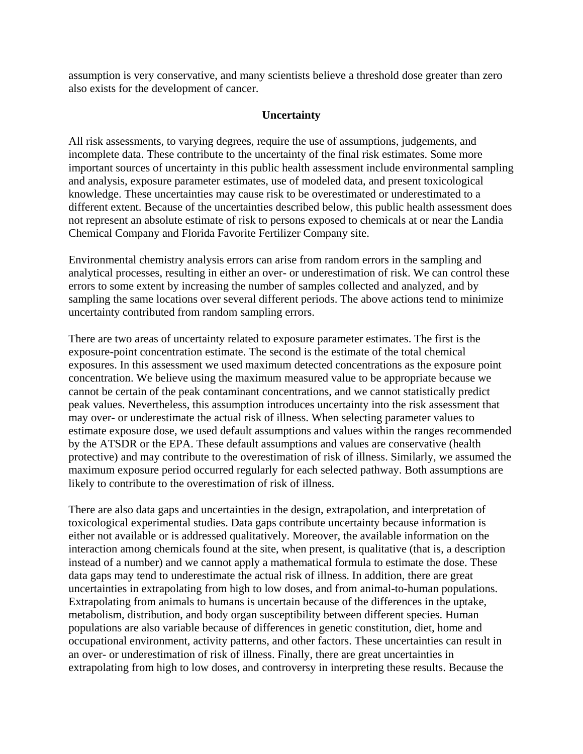assumption is very conservative, and many scientists believe a threshold dose greater than zero also exists for the development of cancer.

#### **Uncertainty**

All risk assessments, to varying degrees, require the use of assumptions, judgements, and incomplete data. These contribute to the uncertainty of the final risk estimates. Some more important sources of uncertainty in this public health assessment include environmental sampling and analysis, exposure parameter estimates, use of modeled data, and present toxicological knowledge. These uncertainties may cause risk to be overestimated or underestimated to a different extent. Because of the uncertainties described below, this public health assessment does not represent an absolute estimate of risk to persons exposed to chemicals at or near the Landia Chemical Company and Florida Favorite Fertilizer Company site.

Environmental chemistry analysis errors can arise from random errors in the sampling and analytical processes, resulting in either an over- or underestimation of risk. We can control these errors to some extent by increasing the number of samples collected and analyzed, and by sampling the same locations over several different periods. The above actions tend to minimize uncertainty contributed from random sampling errors.

There are two areas of uncertainty related to exposure parameter estimates. The first is the exposure-point concentration estimate. The second is the estimate of the total chemical exposures. In this assessment we used maximum detected concentrations as the exposure point concentration. We believe using the maximum measured value to be appropriate because we cannot be certain of the peak contaminant concentrations, and we cannot statistically predict peak values. Nevertheless, this assumption introduces uncertainty into the risk assessment that may over- or underestimate the actual risk of illness. When selecting parameter values to estimate exposure dose, we used default assumptions and values within the ranges recommended by the ATSDR or the EPA. These default assumptions and values are conservative (health protective) and may contribute to the overestimation of risk of illness. Similarly, we assumed the maximum exposure period occurred regularly for each selected pathway. Both assumptions are likely to contribute to the overestimation of risk of illness.

There are also data gaps and uncertainties in the design, extrapolation, and interpretation of toxicological experimental studies. Data gaps contribute uncertainty because information is either not available or is addressed qualitatively. Moreover, the available information on the interaction among chemicals found at the site, when present, is qualitative (that is, a description instead of a number) and we cannot apply a mathematical formula to estimate the dose. These data gaps may tend to underestimate the actual risk of illness. In addition, there are great uncertainties in extrapolating from high to low doses, and from animal-to-human populations. Extrapolating from animals to humans is uncertain because of the differences in the uptake, metabolism, distribution, and body organ susceptibility between different species. Human populations are also variable because of differences in genetic constitution, diet, home and occupational environment, activity patterns, and other factors. These uncertainties can result in an over- or underestimation of risk of illness. Finally, there are great uncertainties in extrapolating from high to low doses, and controversy in interpreting these results. Because the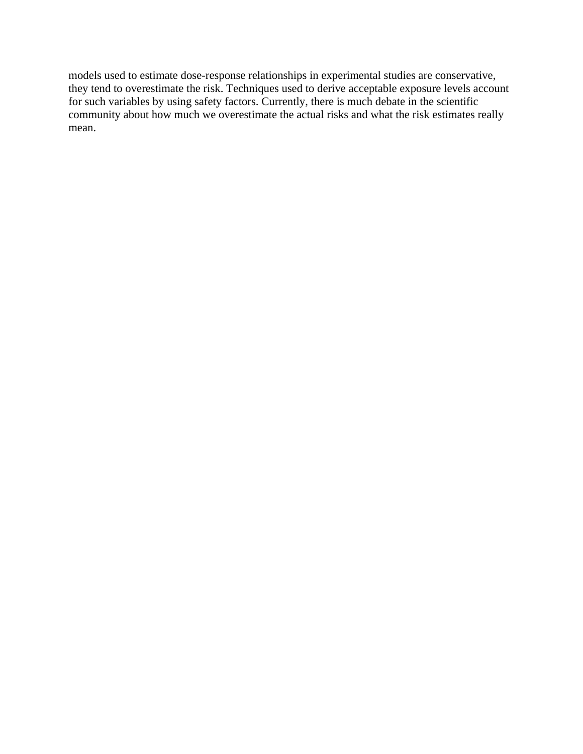models used to estimate dose-response relationships in experimental studies are conservative, they tend to overestimate the risk. Techniques used to derive acceptable exposure levels account for such variables by using safety factors. Currently, there is much debate in the scientific community about how much we overestimate the actual risks and what the risk estimates really mean.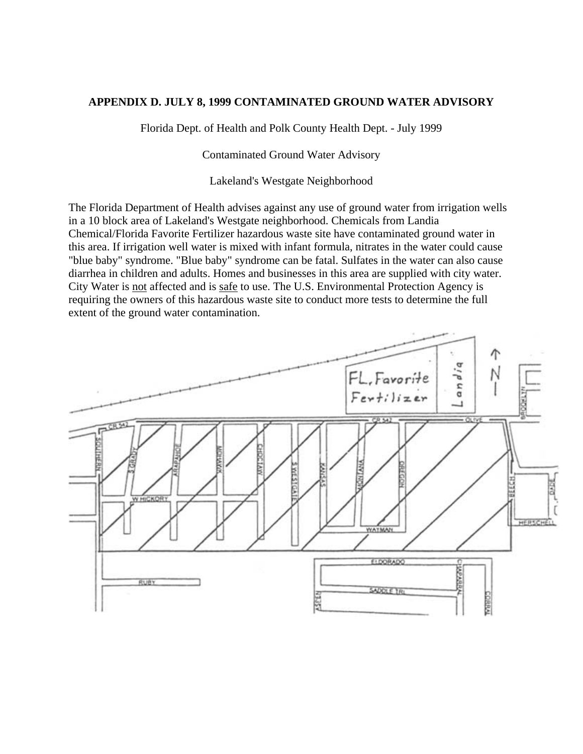#### **APPENDIX D. JULY 8, 1999 CONTAMINATED GROUND WATER ADVISORY**

Florida Dept. of Health and Polk County Health Dept. - July 1999

Contaminated Ground Water Advisory

Lakeland's Westgate Neighborhood

The Florida Department of Health advises against any use of ground water from irrigation wells in a 10 block area of Lakeland's Westgate neighborhood. Chemicals from Landia Chemical/Florida Favorite Fertilizer hazardous waste site have contaminated ground water in this area. If irrigation well water is mixed with infant formula, nitrates in the water could cause "blue baby" syndrome. "Blue baby" syndrome can be fatal. Sulfates in the water can also cause diarrhea in children and adults. Homes and businesses in this area are supplied with city water. City Water is not affected and is safe to use. The U.S. Environmental Protection Agency is requiring the owners of this hazardous waste site to conduct more tests to determine the full extent of the ground water contamination.

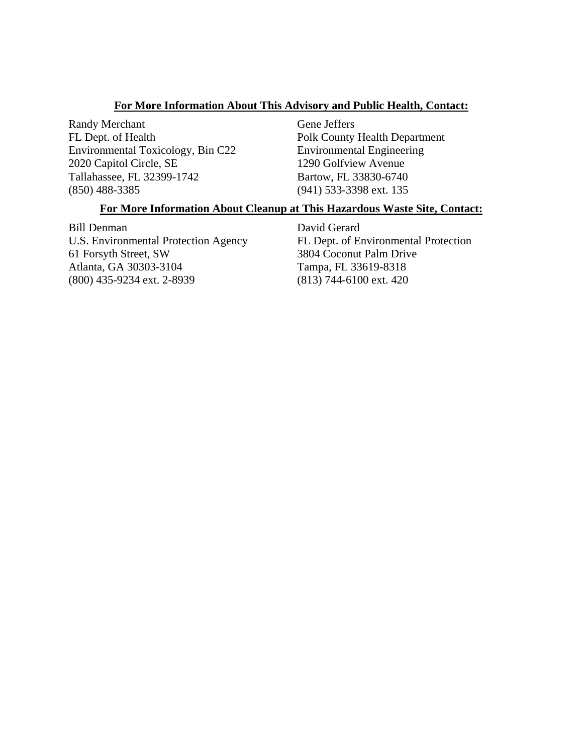#### **For More Information About This Advisory and Public Health, Contact:**

Randy Merchant FL Dept. of Health Environmental Toxicology, Bin C22 2020 Capitol Circle, SE Tallahassee, FL 32399-1742 (850) 488-3385

Gene Jeffers Polk County Health Department Environmental Engineering 1290 Golfview Avenue Bartow, FL 33830-6740 (941) 533-3398 ext. 135

#### **For More Information About Cleanup at This Hazardous Waste Site, Contact:**

Bill Denman U.S. Environmental Protection Agency 61 Forsyth Street, SW Atlanta, GA 30303-3104 (800) 435-9234 ext. 2-8939

David Gerard FL Dept. of Environmental Protection 3804 Coconut Palm Drive Tampa, FL 33619-8318 (813) 744-6100 ext. 420